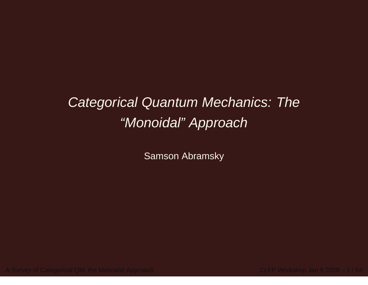# Categorical Quantum Mechanics: The"Monoidal" Approach

Samson Abramsky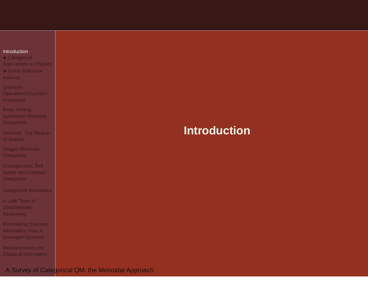<span id="page-1-0"></span>

| Introduction |
|--------------|
|              |
|              |

 • Categorical [Approaches](#page-2-0) to Physics

• Some [distinctive](#page-7-0) features

Quantum [Operations/Quantum](#page-11-0)Processes

Basic Setting: Symmetric Monoidal **[Categories](#page-30-0)** 

[Interlude:](#page-44-0) The Miracleof Scalars

Dagger Monoidal **[Categories](#page-48-0)** 

[Entanglement,](#page-54-0) Bell States and Compact **Categories** 

[Categorical](#page-62-0) Axiomatics

A Little Taste of **[Diagrammatic](#page-75-0)** Reasoning

[Illuminating](#page-81-0) Quantum Information Flow inEntangled Systems

[Measurements](#page-88-0) andClassical Information

# **Introduction**

A Survey of Categorical QM: the Monoidal Approach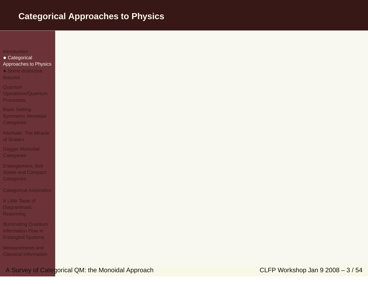## <span id="page-2-0"></span>**Categorical Approaches to Physics**

### [Introduction](#page-1-0)

- Categorical [Approaches](#page-2-0) to Physics
- Some [distinctive](#page-7-0) **features**
- **Quantum**  [Operations/Quantum](#page-11-0)Processes
- Basic Setting: Symmetric Monoidal **[Categories](#page-30-0)**
- [Interlude:](#page-44-0) The Miracleof Scalars
- Dagger Monoidal **[Categories](#page-48-0)**
- [Entanglement,](#page-54-0) Bell **States and Compact Categories**
- [Categorical](#page-62-0) Axiomatics
- A Little Taste of **[Diagrammatic](#page-75-0)** Reasoning
- [Illuminating](#page-81-0) Quantum Information Flow inEntangled Systems
- [Measurements](#page-88-0) andClassical Information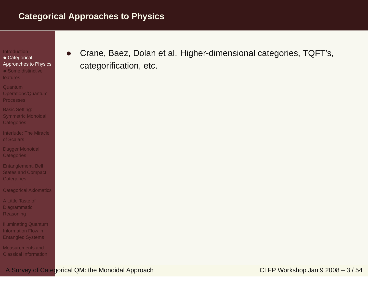• Categorical [Approaches](#page-2-0) to Physics

• Some [distinctive](#page-7-0) features

Quantum [Operations/Quantum](#page-11-0)**Processes** 

Basic Setting: Symmetric Monoidal **[Categories](#page-30-0)** 

[Interlude:](#page-44-0) The Miracleof Scalars

Dagger Monoidal **[Categories](#page-48-0)** 

[Entanglement,](#page-54-0) Bell States and Compact **Categories** 

[Categorical](#page-62-0) Axiomatics

A Little Taste of **[Diagrammatic](#page-75-0)** Reasoning

[Illuminating](#page-81-0) Quantum Information Flow inEntangled Systems

[Measurements](#page-88-0) andClassical Information • Crane, Baez, Dolan et al. Higher-dimensional categories, TQFT's, categorification, etc.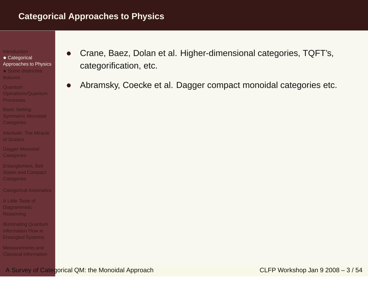- Categorical [Approaches](#page-2-0) to Physics
- Some [distinctive](#page-7-0) features
- Quantum [Operations/Quantum](#page-11-0)**Processes**
- Basic Setting: Symmetric Monoidal **[Categories](#page-30-0)**
- [Interlude:](#page-44-0) The Miracleof Scalars
- Dagger Monoidal **[Categories](#page-48-0)**
- [Entanglement,](#page-54-0) Bell States and Compact **Categories**
- [Categorical](#page-62-0) Axiomatics
- A Little Taste of **[Diagrammatic](#page-75-0)** Reasoning
- [Illuminating](#page-81-0) Quantum Information Flow inEntangled Systems
- [Measurements](#page-88-0) andClassical Information
- • Crane, Baez, Dolan et al. Higher-dimensional categories, TQFT's, categorification, etc.
- •Abramsky, Coecke et al. Dagger compact monoidal categories etc.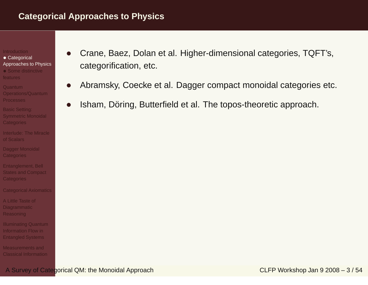- Categorical [Approaches](#page-2-0) to Physics
- Some [distinctive](#page-7-0) features
- Quantum [Operations/Quantum](#page-11-0)Processes
- Basic Setting: Symmetric Monoidal [Categories](#page-30-0)
- [Interlude:](#page-44-0) The Miracleof Scalars
- Dagger Monoidal **[Categories](#page-48-0)**
- [Entanglement,](#page-54-0) Bell States and Compact **Categories**
- [Categorical](#page-62-0) Axiomatics
- A Little Taste of **[Diagrammatic](#page-75-0)** Reasoning
- [Illuminating](#page-81-0) Quantum Information Flow inEntangled Systems
- [Measurements](#page-88-0) andClassical Information
- • Crane, Baez, Dolan et al. Higher-dimensional categories, TQFT's, categorification, etc.
- •Abramsky, Coecke et al. Dagger compact monoidal categories etc.
- •Isham, Döring, Butterfield et al. The topos-theoretic approach.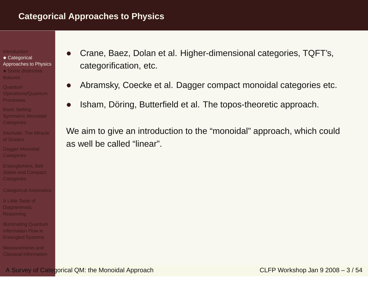- Categorical [Approaches](#page-2-0) to Physics
- Some [distinctive](#page-7-0) features
- Quantum [Operations/Quantum](#page-11-0)**Processes**
- Basic Setting: Symmetric Monoidal [Categories](#page-30-0)
- [Interlude:](#page-44-0) The Miracleof Scalars
- Dagger Monoidal **[Categories](#page-48-0)**
- [Entanglement,](#page-54-0) Bell States and Compact **Categories**
- [Categorical](#page-62-0) Axiomatics
- A Little Taste of **[Diagrammatic](#page-75-0)** Reasoning
- [Illuminating](#page-81-0) Quantum Information Flow inEntangled Systems
- [Measurements](#page-88-0) andClassical Information
- • Crane, Baez, Dolan et al. Higher-dimensional categories, TQFT's, categorification, etc.
- •Abramsky, Coecke et al. Dagger compact monoidal categories etc.
- •Isham, Döring, Butterfield et al. The topos-theoretic approach.

We aim to give an introduction to the "monoidal" approach, which couldas well be called "linear".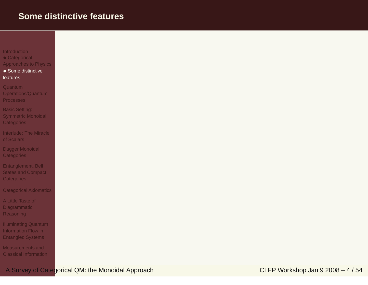<span id="page-7-0"></span>

| Introduction |             |
|--------------|-------------|
|              | Categorical |

 Categorical [Approaches](#page-2-0) to Physics

• Some [distinctive](#page-7-0) features

Quantum [Operations/Quantum](#page-11-0)Processes

Basic Setting: Symmetric Monoidal **[Categories](#page-30-0)** 

[Interlude:](#page-44-0) The Miracleof Scalars

Dagger Monoidal **[Categories](#page-48-0)** 

[Entanglement,](#page-54-0) Bell States and Compact **Categories** 

[Categorical](#page-62-0) Axiomatics

A Little Taste of **[Diagrammatic](#page-75-0)** Reasoning

[Illuminating](#page-81-0) Quantum Information Flow inEntangled Systems

[Measurements](#page-88-0) andClassical Information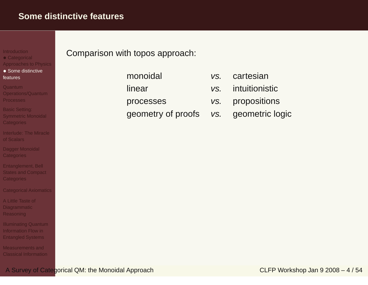**[Introduction](#page-1-0)** 

 • Categorical [Approaches](#page-2-0) to Physics

• Some [distinctive](#page-7-0) features

Quantum

 [Operations/Quantum](#page-11-0)**Processes** 

Basic Setting: Symmetric Monoidal **[Categories](#page-30-0)** 

[Interlude:](#page-44-0) The Miracleof Scalars

Dagger Monoidal **[Categories](#page-48-0)** 

[Entanglement,](#page-54-0) Bell States and Compact **Categories** 

[Categorical](#page-62-0) Axiomatics

A Little Taste of **[Diagrammatic](#page-75-0)** Reasoning

[Illuminating](#page-81-0) Quantum Information Flow inEntangled Systems

[Measurements](#page-88-0) andClassical Information Comparison with topos approach:

monoidallinearprocessesgeometry of proofs

- vs.cartesian
- vs. intuitionistic
- vs. propositions
- vs. geometric logic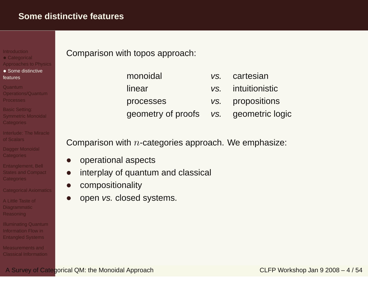# **[Introduction](#page-1-0)**

- Categorical [Approaches](#page-2-0) to Physics
- Some [distinctive](#page-7-0) features

### Quantum

- [Operations/Quantum](#page-11-0)**Processes**
- Basic Setting: Symmetric Monoidal [Categories](#page-30-0)
- [Interlude:](#page-44-0) The Miracleof Scalars
- Dagger Monoidal **[Categories](#page-48-0)**
- [Entanglement,](#page-54-0) Bell States and Compact **Categories**
- [Categorical](#page-62-0) Axiomatics
- A Little Taste of **[Diagrammatic](#page-75-0)** Reasoning
- [Illuminating](#page-81-0) Quantum Information Flow inEntangled Systems
- [Measurements](#page-88-0) andClassical Information

# Comparison with topos approach:

monoidallinearprocesses

- geometry of proofs
- vs. cartesian
	- vs. intuitionistic
	- vs. propositions
	- vs. geometric logic

Comparison with  $n\text{-categories}$  approach. We emphasize:

- •operational aspects
- •interplay of quantum and classical
- •compositionality
- •open vs. closed systems.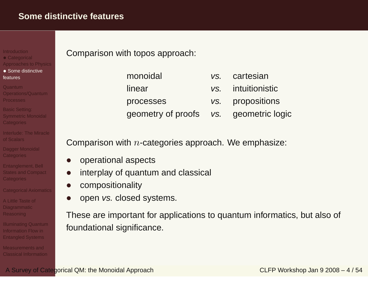**[Introduction](#page-1-0)** 

 • Categorical [Approaches](#page-2-0) to Physics

• Some [distinctive](#page-7-0) features

Quantum

 [Operations/Quantum](#page-11-0)**Processes** 

Basic Setting: Symmetric Monoidal [Categories](#page-30-0)

[Interlude:](#page-44-0) The Miracleof Scalars

Dagger Monoidal **[Categories](#page-48-0)** 

[Entanglement,](#page-54-0) Bell States and Compact **Categories** 

[Categorical](#page-62-0) Axiomatics

A Little Taste of **[Diagrammatic](#page-75-0)** Reasoning

[Illuminating](#page-81-0) Quantum Information Flow inEntangled Systems

[Measurements](#page-88-0) andClassical Information Comparison with topos approach:

monoidallinearprocesses

geometry of proofs

- vs. cartesian
	- vs. intuitionistic
	- vs. propositions
	- vs. geometric logic

Comparison with  $n\text{-categories}$  approach. We emphasize:

- •operational aspects
- •interplay of quantum and classical
- •compositionality
- •open vs. closed systems.

These are important for applications to quantum informatics, but also of foundational significance.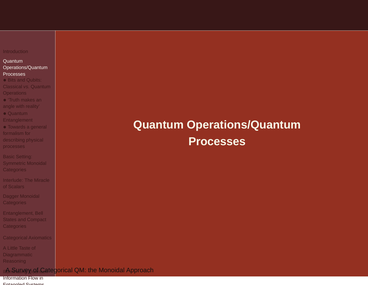### <span id="page-11-0"></span>Quantum[Operations/Quantum](#page-11-0)

#### Processes

- Bits and Qubits: Classical vs. Quantum**[Operations](#page-12-0)**
- 'Truth makes an angle with [reality'](#page-20-0)
- Quantum
- [Entanglement](#page-21-0)
- Towards <sup>a</sup> general formalism for
- [describing](#page-23-0) physical processes
- Basic Setting: Symmetric Monoidal **[Categories](#page-30-0)**
- [Interlude:](#page-44-0) The Miracleof Scalars
- Dagger Monoidal **[Categories](#page-48-0)**
- [Entanglement,](#page-54-0) Bell **States and Compact Categories**
- [Categorical](#page-62-0) Axiomatics
- A Little Taste of **[Diagrammatic](#page-75-0)** Reasoning

### ॥Aଲକିାଧ୍ୟାାନ୍ତୁ <u>ରହୀ</u>୍ତି ଦିଶ୍ Categ<mark>orical QM: the Monoidal Approach</mark>

Information Flow inEntangled Systems

# **Quantum Operations/QuantumProcesses**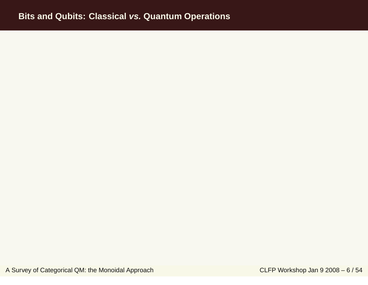<span id="page-12-0"></span>A Survey of Categorical QM: the Monoidal Approach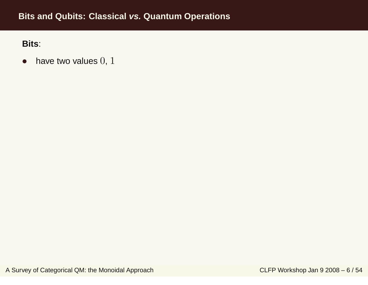$\bullet$ have two values  $0, 1$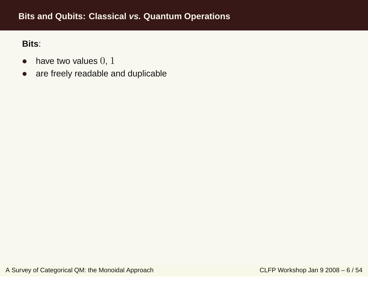- $\bullet$ have two values  $0, 1$
- $\bullet$ are freely readable and duplicable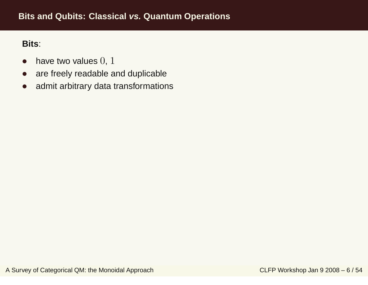- $\bullet$ have two values  $0, 1$
- $\bullet$ are freely readable and duplicable
- $\bullet$ admit arbitrary data transformations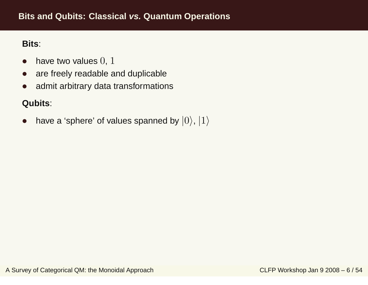- $\bullet$ have two values  $0, 1$
- $\bullet$ are freely readable and duplicable
- $\bullet$ admit arbitrary data transformations

# **Qubits**:

 $\bullet$ have a 'sphere' of values spanned by  $|0\rangle, |1\rangle$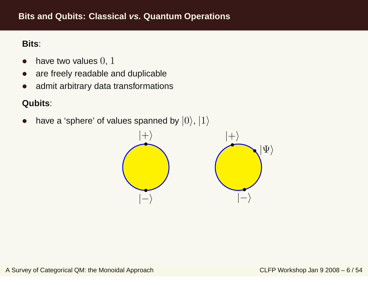- $\bullet$ have two values  $0, 1$
- $\bullet$ are freely readable and duplicable
- $\bullet$ admit arbitrary data transformations

# **Qubits**:

 $\bullet$ have a 'sphere' of values spanned by  $|0\rangle, |1\rangle$ 

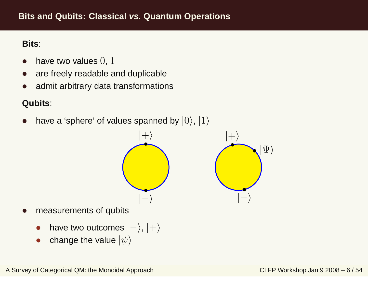- $\bullet$ have two values  $0, 1$
- $\bullet$ are freely readable and duplicable
- $\bullet$ admit arbitrary data transformations

# **Qubits**:

 $\bullet$ 

•

 $\bullet$ have a 'sphere' of values spanned by  $|0\rangle$ ,  $|1\rangle$ 



•change the value  $|\psi\rangle$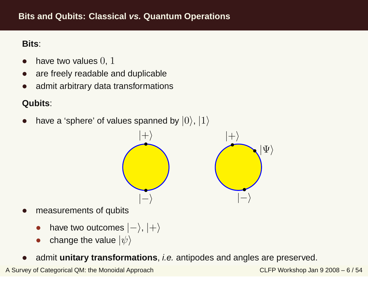- $\bullet$ have two values  $0, 1$
- $\bullet$ are freely readable and duplicable
- $\bullet$ admit arbitrary data transformations

# **Qubits**:

 $\bullet$ have a 'sphere' of values spanned by  $|0\rangle$ ,  $|1\rangle$ 



- $\bullet$  measurements of qubits
	- •have two outcomes  $|-\rangle, |+\rangle$
	- •change the value  $|\psi\rangle$
- $\bullet$ admit **unitary transformations**, i.e. antipodes and angles are preserved.

A Survey of Categorical QM: the Monoidal Approach

CLFP Workshop Jan <sup>9</sup> <sup>2008</sup> – <sup>6</sup> / <sup>54</sup>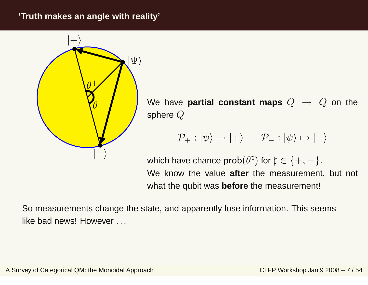## <span id="page-20-0"></span>**'Truth makes an angle with reality'**



 $\begin{bmatrix} - & \end{bmatrix}$  We have **partial constant maps**  $Q \rightarrow Q$  on the sphere  $Q$ 

$$
\mathcal{P}_{+}: |\psi\rangle \mapsto |+\rangle \qquad \mathcal{P}_{-}: |\psi\rangle \mapsto |-\rangle
$$

which have chance  $\mathsf{prob}(\theta^\sharp)$  for  $\sharp \in \{+,-\}.$ We know the value **after** the measurement, but not what the qubit was **before** the measurement!

So measurements change the state, and apparently lose information. This seemslike bad news! However ...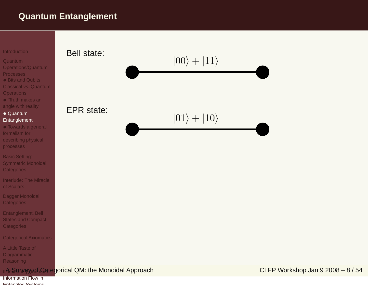# <span id="page-21-0"></span>**Quantum Entanglement**

#### **[Introduction](#page-1-0)**

#### Quantum

- [Operations/Quantum](#page-11-0)
- **Processes**
- Bits and Qubits: Classical vs. Quantum**[Operations](#page-12-0)**
- 'Truth makes an
- angle with [reality'](#page-20-0)

### • Quantum [Entanglement](#page-21-0)

- Towards <sup>a</sup> general formalism for[describing](#page-23-0) physical processes
- Basic Setting: Symmetric Monoidal **[Categories](#page-30-0)**
- [Interlude:](#page-44-0) The Miracleof Scalars
- Dagger Monoidal **[Categories](#page-48-0)**
- [Entanglement,](#page-54-0) Bell States and Compact **Categories**

### [Categorical](#page-62-0) Axiomatics

A Little Taste of **[Diagrammatic](#page-75-0) Reasoning** 

### ॥Aଲକିାଧାଲେ ବୁଇଇ Survey of Categorical QM: the Monoidal Approach

Information Flow inEntangled Systems

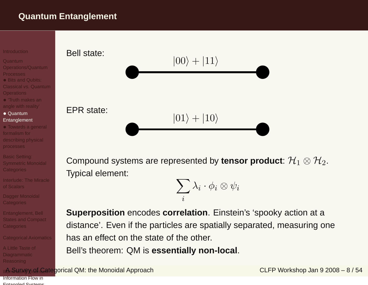# **Quantum Entanglement**



#### Quantum

- [Operations/Quantum](#page-11-0)
- **Processes**
- Bits and Qubits: Classical vs. Quantum**[Operations](#page-12-0)**
- 'Truth makes an angle with [reality'](#page-20-0)
- Quantum [Entanglement](#page-21-0)
- Towards <sup>a</sup> general formalism for[describing](#page-23-0) physical processes
- Basic Setting: Symmetric Monoidal **[Categories](#page-30-0)**
- [Interlude:](#page-44-0) The Miracleof Scalars
- Dagger Monoidal **[Categories](#page-48-0)**
- [Entanglement,](#page-54-0) Bell States and Compact Categories

### [Categorical](#page-62-0) Axiomatics

A Little Taste of [Diagrammatic](#page-75-0)Reasoning



Compound systems are represented by **tensor product**:  $\mathcal{H}_1 \otimes \mathcal{H}_2.$ Typical element:

> $\sum_i$  $\lambda_i \cdot \phi_i \otimes \psi_i$

**Superposition** encodes **correlation**. Einstein's 'spooky action at <sup>a</sup> distance'. Even if the particles are spatially separated, measuring onehas an effect on the state of the other.

Bell's theorem: QM is **essentially non-local**.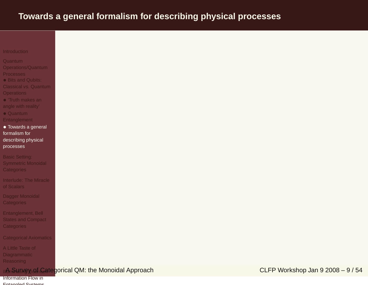# <span id="page-23-0"></span>**Towards <sup>a</sup> general formalism for describing physical processes**

#### **[Introduction](#page-1-0)**

#### Quantum

- [Operations/Quantum](#page-11-0)
- **Processes**
- Bits and Qubits:
- Classical vs. Quantum**[Operations](#page-12-0)**
- 'Truth makes an angle with [reality'](#page-20-0)
- Quantum[Entanglement](#page-21-0)
- Towards <sup>a</sup> general formalism for[describing](#page-23-0) physical processes
- Basic Setting: Symmetric Monoidal **[Categories](#page-30-0)**
- [Interlude:](#page-44-0) The Miracleof Scalars
- Dagger Monoidal **[Categories](#page-48-0)**
- [Entanglement,](#page-54-0) Bell States and Compact **Categories**
- [Categorical](#page-62-0) Axiomatics
- A Little Taste of **[Diagrammatic](#page-75-0) Reasoning**

### ॥Aଲକିାଧାଲେ ବୁଇଇ Survey of Categorical QM: the Monoidal Approach

### Information Flow inEntangled Systems

CLFP Workshop Jan <sup>9</sup> <sup>2008</sup> – <sup>9</sup> / <sup>54</sup>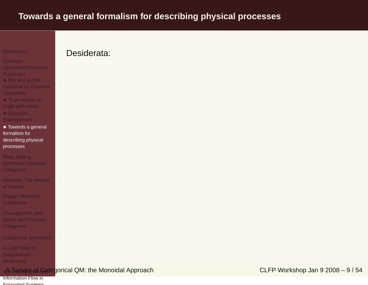# **Towards <sup>a</sup> general formalism for describing physical processes**

**[Introduction](#page-1-0)** 

#### Quantum

[Operations/Quantum](#page-11-0)

**Processes** 

• Bits and Qubits: Classical vs. Quantum

**[Operations](#page-12-0)** 

 • 'Truth makes an angle with [reality'](#page-20-0)

• Quantum[Entanglement](#page-21-0)

• Towards <sup>a</sup> general formalism for[describing](#page-23-0) physical processes

Basic Setting: Symmetric Monoidal **[Categories](#page-30-0)** 

[Interlude:](#page-44-0) The Miracleof Scalars

Dagger Monoidal **[Categories](#page-48-0)** 

[Entanglement,](#page-54-0) Bell States and Compact **Categories** 

[Categorical](#page-62-0) Axiomatics

A Little Taste of **[Diagrammatic](#page-75-0) Reasoning** 

### ॥Aଲକିାଧାଲେ ବୁଇଇ Survey of Categorical QM: the Monoidal Approach

Desiderata:

Information Flow inEntangled Systems

CLFP Workshop Jan <sup>9</sup> <sup>2008</sup> – <sup>9</sup> / <sup>54</sup>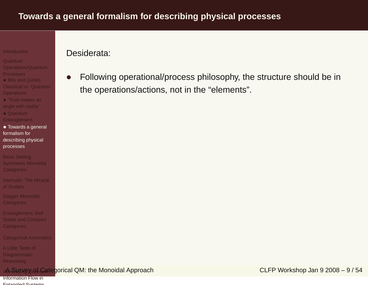#### Quantum

- [Operations/Quantum](#page-11-0)
- **Processes**
- Bits and Qubits:
- Classical vs. Quantum**[Operations](#page-12-0)**
- 'Truth makes an angle with [reality'](#page-20-0)
- Quantum[Entanglement](#page-21-0)
- Towards <sup>a</sup> general formalism for[describing](#page-23-0) physical processes
- Basic Setting: Symmetric Monoidal **[Categories](#page-30-0)**
- [Interlude:](#page-44-0) The Miracleof Scalars
- Dagger Monoidal **[Categories](#page-48-0)**
- [Entanglement,](#page-54-0) Bell States and Compact **Categories**
- [Categorical](#page-62-0) Axiomatics

A Little Taste of [Diagrammatic](#page-75-0)Reasoning

### ॥Aଲକିାଧାଲେ ବୁଇଇ Survey of Categorical QM: the Monoidal Approach

Information Flow inEntangled Systems

## Desiderata:

• Following operational/process philosophy, the structure should be in the operations/actions, not in the "elements".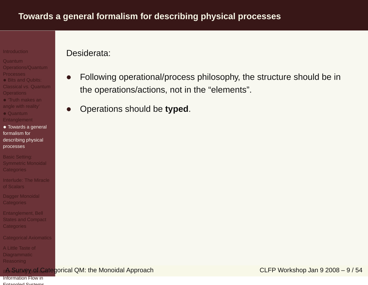#### Quantum

- [Operations/Quantum](#page-11-0)
- **Processes**
- Bits and Qubits:
- Classical vs. Quantum**[Operations](#page-12-0)**
- 'Truth makes an angle with [reality'](#page-20-0)
- Quantum
- [Entanglement](#page-21-0)
- Towards <sup>a</sup> general formalism for[describing](#page-23-0) physical processes
- Basic Setting: Symmetric Monoidal **[Categories](#page-30-0)**
- [Interlude:](#page-44-0) The Miracleof Scalars
- Dagger Monoidal **[Categories](#page-48-0)**
- [Entanglement,](#page-54-0) Bell States and Compact **Categories**
- [Categorical](#page-62-0) Axiomatics
- A Little Taste of [Diagrammatic](#page-75-0)Reasoning

### ॥Aଲକିାଧାଲେ ବୁଇଇ Survey of Categorical QM: the Monoidal Approach

Information Flow inEntangled Systems

# Desiderata:

- • Following operational/process philosophy, the structure should be in the operations/actions, not in the "elements".
- •Operations should be **typed**.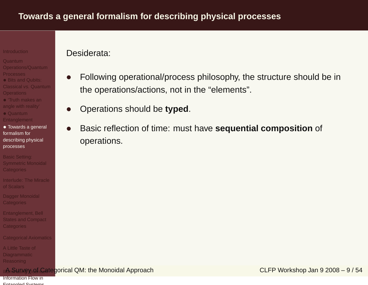#### Quantum

- [Operations/Quantum](#page-11-0)
- **Processes**
- Bits and Qubits:
- Classical vs. Quantum**[Operations](#page-12-0)**
- 'Truth makes an angle with [reality'](#page-20-0)
- Quantum
- [Entanglement](#page-21-0)

• Towards <sup>a</sup> general formalism for[describing](#page-23-0) physical processes

Basic Setting: Symmetric Monoidal **[Categories](#page-30-0)** 

[Interlude:](#page-44-0) The Miracleof Scalars

Dagger Monoidal **[Categories](#page-48-0)** 

[Entanglement,](#page-54-0) Bell States and Compact Categories

[Categorical](#page-62-0) Axiomatics

A Little Taste of [Diagrammatic](#page-75-0)Reasoning

### ॥Aଲକିାଧାଲେ ବୁଇଇ Survey of Categorical QM: the Monoidal Approach

Information Flow inEntangled Systems

# Desiderata:

- • Following operational/process philosophy, the structure should be in the operations/actions, not in the "elements".
- •Operations should be **typed**.
- • Basic reflection of time: must have **sequential composition** of operations.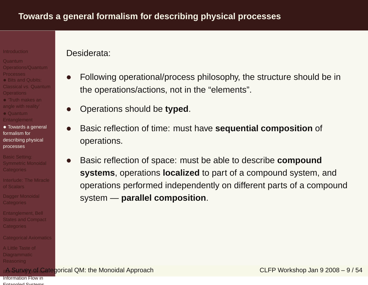#### Quantum

- [Operations/Quantum](#page-11-0)
- 
- Bits and Qubits:
- Classical vs. Quantum**[Operations](#page-12-0)**
- 'Truth makes an angle with [reality'](#page-20-0)
- Quantum
- [Entanglement](#page-21-0)

• Towards <sup>a</sup> general formalism for[describing](#page-23-0) physical processes

Basic Setting: Symmetric Monoidal **[Categories](#page-30-0)** 

- [Interlude:](#page-44-0) The Miracleof Scalars
- Dagger Monoidal **[Categories](#page-48-0)**

[Entanglement,](#page-54-0) Bell States and Compact Categories

[Categorical](#page-62-0) Axiomatics

A Little Taste of [Diagrammatic](#page-75-0)Reasoning

Information Flow inEntangled Systems

## Desiderata:

- • Following operational/process philosophy, the structure should be in the operations/actions, not in the "elements".
- •Operations should be **typed**.
- • Basic reflection of time: must have **sequential composition** of operations.
- • Basic reflection of space: must be able to describe **compound systems**, operations **localized** to part of <sup>a</sup> compound system, and operations performed independently on different parts of <sup>a</sup> compound system — **parallel composition**.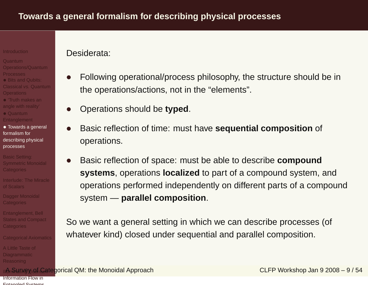### Quantum

- [Operations/Quantum](#page-11-0)
- 
- Bits and Qubits:
- Classical vs. Quantum**[Operations](#page-12-0)**
- 'Truth makes an angle with [reality'](#page-20-0)
- Quantum[Entanglement](#page-21-0)
- Towards <sup>a</sup> general formalism for[describing](#page-23-0) physical
- processes
- Basic Setting: Symmetric Monoidal **[Categories](#page-30-0)**
- [Interlude:](#page-44-0) The Miracleof Scalars
- Dagger Monoidal **[Categories](#page-48-0)**
- [Entanglement,](#page-54-0) Bell States and Compact **Categories**
- [Categorical](#page-62-0) Axiomatics
- A Little Taste of [Diagrammatic](#page-75-0)Reasoning

### Desiderata:

- • Following operational/process philosophy, the structure should be in the operations/actions, not in the "elements".
- •Operations should be **typed**.
- • Basic reflection of time: must have **sequential composition** of operations.
- • Basic reflection of space: must be able to describe **compound systems**, operations **localized** to part of <sup>a</sup> compound system, and operations performed independently on different parts of <sup>a</sup> compound system — **parallel composition**.

So we want <sup>a</sup> general setting in which we can describe processes (of whatever kind) closed under sequential and parallel composition.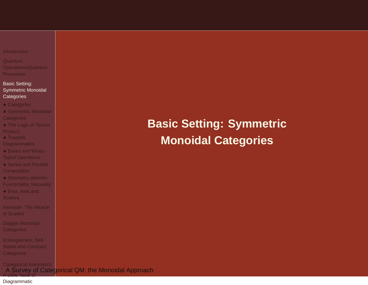<span id="page-30-0"></span>

| Introduction |  |  |  |  |
|--------------|--|--|--|--|
|              |  |  |  |  |
|              |  |  |  |  |

Quantum [Operations/Quantum](#page-11-0)Processes

### Basic Setting: Symmetric Monoidal **[Categories](#page-30-0)**

- [Categories](#page-31-0)
- Symmetric Monoidal **[Categories](#page-32-0)**
- The Logic of Tensor **[Product](#page-33-0)**
- Towards
- **[Diagrammatics](#page-35-0)**
- Boxes and Wires:
- Typed [Operations](#page-39-0)
- Series and Parallel **[Composition](#page-40-0)**
- Geometry absorbs [Functoriality,](#page-41-0) Naturality
- Bras, Kets and **[Scalars](#page-42-0)**
- [Interlude:](#page-44-0) The Miracleof Scalars
- Dagger Monoidal **[Categories](#page-48-0)**
- [Entanglement,](#page-54-0) Bell States and Compact **Categories**

[Categorical](#page-62-0) AxiomaticsA Su<u>r</u>vey of Categorical QM: the Monoidal Approach A Little Taste of

### [Diagrammatic](#page-75-0)

# **Basic Setting: SymmetricMonoidal Categories**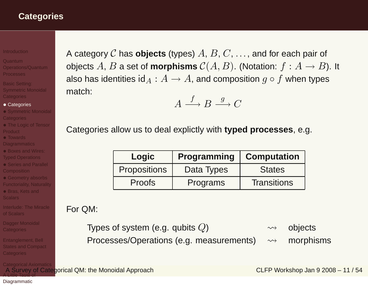## <span id="page-31-0"></span>**Categories**

#### **[Introduction](#page-1-0)**

Quantum [Operations/Quantum](#page-11-0)**Processes** 

Basic Setting: Symmetric Monoidal **[Categories](#page-30-0)** 

### • [Categories](#page-31-0)

- Symmetric Monoidal **[Categories](#page-32-0)**
- The Logic of Tensor **[Product](#page-33-0)**
- Towards
- [Diagrammatics](#page-35-0)
- Boxes and Wires: Typed [Operations](#page-39-0)
- Series and Parallel **[Composition](#page-40-0)**
- Geometry absorbs [Functoriality,](#page-41-0) Naturality
- Bras, Kets and

[Interlude:](#page-44-0) The Miracleof Scalars

Dagger Monoidal [Categories](#page-48-0)

[Entanglement,](#page-54-0) Bell States and Compact Categories

[Categorical](#page-62-0) Axiomatics

A category  $\mathcal C$  has  $\mathop{\sf objects}$  (types)  $A,\,B,\,C,\,\ldots$  , and for each pair of objects  $A, B$  a set of **morphisms**  $C(A, B)$ . (Notation:  $f : A \rightarrow B$ ). It<br>also has identities id  $f : A \rightarrow A$  and composition  $a \circ f$  when types also has identities  $\mathsf{id}_A : A \to A,$  and composition  $g \circ f$  when types<br>match: match:

$$
A \xrightarrow{f} B \xrightarrow{g} C
$$

Categories allow us to deal explictly with **typed processes**, e.g.

| Logic               | <b>Programming</b> | <b>Computation</b> |
|---------------------|--------------------|--------------------|
| <b>Propositions</b> | Data Types         | <b>States</b>      |
| <b>Proofs</b>       | Programs           | <b>Transitions</b> |

### For QM:

Types of system (e.g. qubits  $Q$ )  $\rightsquigarrow$  objects Processes/Operations (e.g. measurements)  $\rightsquigarrow$  morphisms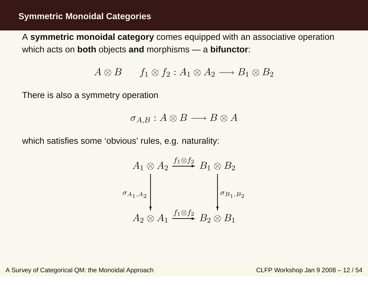<span id="page-32-0"></span>A **symmetric monoidal category** comes equipped with an associative operation which acts on **both** objects **and** morphisms — <sup>a</sup> **bifunctor**:

$$
A \otimes B \qquad f_1 \otimes f_2 : A_1 \otimes A_2 \longrightarrow B_1 \otimes B_2
$$

There is also <sup>a</sup> symmetry operation

$$
\sigma_{A,B}:A\otimes B\longrightarrow B\otimes A
$$

which satisfies some 'obvious' rules, e.g. naturality:

$$
A_1 \otimes A_2 \xrightarrow{f_1 \otimes f_2} B_1 \otimes B_2
$$
  

$$
\sigma_{A_1, A_2}
$$
  

$$
A_2 \otimes A_1 \xrightarrow{f_1 \otimes f_2} B_2 \otimes B_1
$$

A Survey of Categorical QM: the Monoidal Approach CLFP Workshop Jan 9 2008 – <sup>12</sup> / 54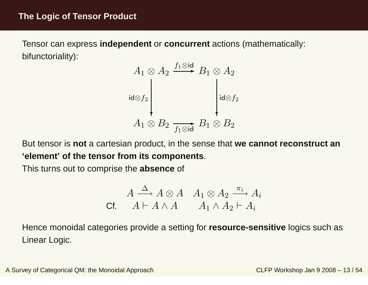<span id="page-33-0"></span>Tensor can express **independent** or **concurrent** actions (mathematically: bifunctoriality):



But tensor is **not** <sup>a</sup> cartesian product, in the sense that **we cannot reconstruct an'element' of the tensor from its components**.

This turns out to comprise the **absence** of

$$
A \xrightarrow{\Delta} A \otimes A \quad A_1 \otimes A_2 \xrightarrow{\pi_i} A_i
$$
  
cf. 
$$
A \vdash A \wedge A \qquad A_1 \wedge A_2 \vdash A_i
$$

Hence monoidal categories provide <sup>a</sup> setting for **resource-sensitive** logics such as Linear Logic.

A Survey of Categorical QM: the Monoidal Approach CLFP Workshop Jan 9 2008 – 13 / 54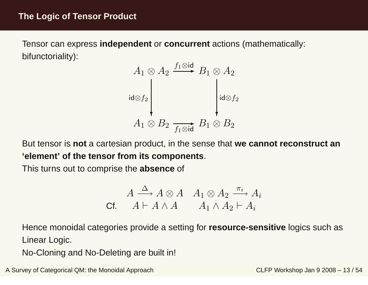Tensor can express **independent** or **concurrent** actions (mathematically: bifunctoriality):



But tensor is **not** <sup>a</sup> cartesian product, in the sense that **we cannot reconstruct an'element' of the tensor from its components**.

This turns out to comprise the **absence** of

$$
A \xrightarrow{\Delta} A \otimes A \quad A_1 \otimes A_2 \xrightarrow{\pi_i} A_i
$$
  
cf. 
$$
A \vdash A \wedge A \qquad A_1 \wedge A_2 \vdash A_i
$$

Hence monoidal categories provide <sup>a</sup> setting for **resource-sensitive** logics such as Linear Logic.

No-Cloning and No-Deleting are built in!

A Survey of Categorical QM: the Monoidal Approach CLFP Workshop Jan 9 2008 – 13 / 54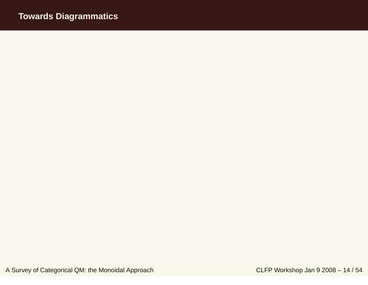# <span id="page-35-0"></span>**Towards Diagrammatics**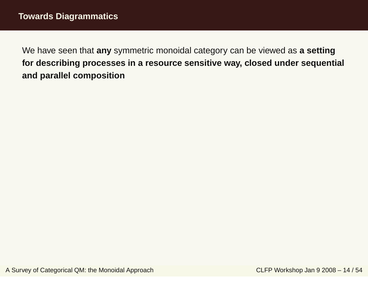We have seen that **any** symmetric monoidal category can be viewed as **<sup>a</sup> setting for describing processes in <sup>a</sup> resource sensitive way, closed under sequential and parallel composition**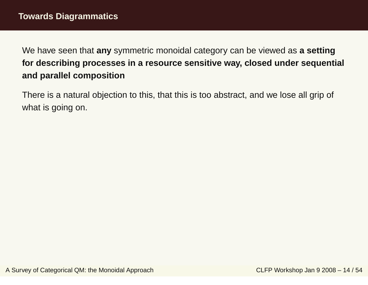We have seen that **any** symmetric monoidal category can be viewed as **<sup>a</sup> setting for describing processes in <sup>a</sup> resource sensitive way, closed under sequential and parallel composition**

There is <sup>a</sup> natural objection to this, that this is too abstract, and we lose all grip of what is going on.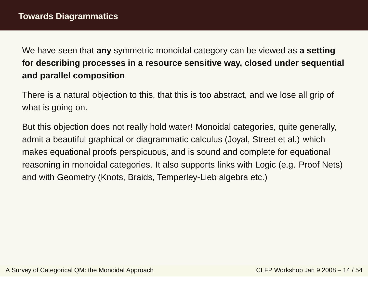We have seen that **any** symmetric monoidal category can be viewed as **<sup>a</sup> setting for describing processes in <sup>a</sup> resource sensitive way, closed under sequential and parallel composition**

There is <sup>a</sup> natural objection to this, that this is too abstract, and we lose all grip of what is going on.

But this objection does not really hold water! Monoidal categories, quite generally, admit <sup>a</sup> beautiful graphical or diagrammatic calculus (Joyal, Street et al.) whichmakes equational proofs perspicuous, and is sound and complete for equational reasoning in monoidal categories. It also supports links with Logic (e.g. Proof Nets)and with Geometry (Knots, Braids, Temperley-Lieb algebra etc.)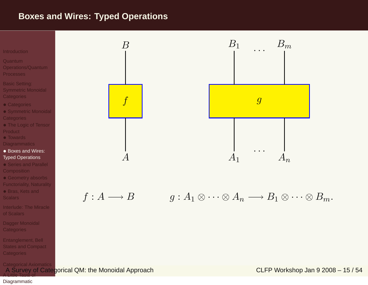### <span id="page-39-0"></span>**Boxes and Wires: Typed Operations**



Dagger Monoidal **[Categories](#page-48-0)** 

[Entanglement,](#page-54-0) Bell States and Compact **Categories** 

[Categorical](#page-62-0) Axiomatics

 A Survey of Categorical QM: the Monoidal Approach CLFP Workshop Jan 9 2008 – 15 / 54A Little Taste of

#### [Diagrammatic](#page-75-0)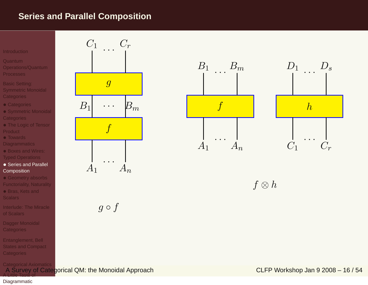### <span id="page-40-0"></span>**Series and Parallel Composition**

#### **[Introduction](#page-1-0)**

- Quantum
- [Operations/Quantum](#page-11-0)**Processes**
- Basic Setting: Symmetric Monoidal **[Categories](#page-30-0)**
- [Categories](#page-31-0)
- Symmetric Monoidal **[Categories](#page-32-0)**
- The Logic of Tensor **[Product](#page-33-0)**
- Towards
- **[Diagrammatics](#page-35-0)**
- Boxes and Wires: Typed [Operations](#page-39-0)
- Series and Parallel **[Composition](#page-40-0)**
- Geometry absorbs [Functoriality,](#page-41-0) Naturality
- Bras, Kets and
- [Interlude:](#page-44-0) The Miracleof Scalars
- Dagger Monoidal **[Categories](#page-48-0)**
- [Entanglement,](#page-54-0) Bell States and Compact **Categories**

[Categorical](#page-62-0) Axiomatics



 $g \circ f$ 



 $f \otimes h$ 

 A Survey of Categorical QM: the Monoidal Approach CLFP Workshop Jan 9 2008 – 16 / 54A Little Taste of

### [Diagrammatic](#page-75-0)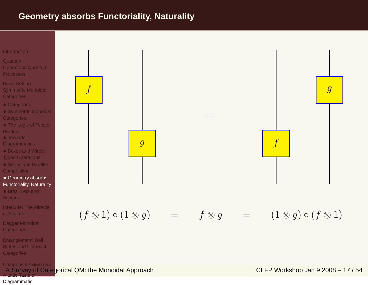### <span id="page-41-0"></span>**Geometry absorbs Functoriality, Naturality**



[Categorical](#page-62-0) Axiomatics A Survey of Categorical QM: the Monoidal Approach CLFP Workshop Jan 9 2008 – <sup>17</sup> / 54A Little Taste of

#### [Diagrammatic](#page-75-0)

**Categories** 

[Entanglement,](#page-54-0) Bell States and Compact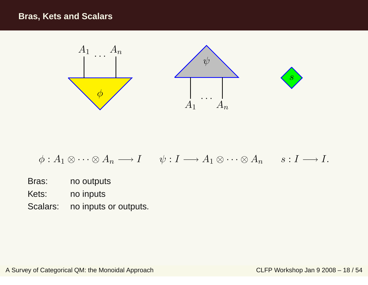### <span id="page-42-0"></span>**Bras, Kets and Scalars**



$$
\phi: A_1 \otimes \cdots \otimes A_n \longrightarrow I \qquad \psi: I \longrightarrow A_1 \otimes \cdots \otimes A_n \qquad s: I \longrightarrow I.
$$

- Bras: no outputs
- Kets: no inputs
- Scalars: no inputs or outputs.

A Survey of Categorical QM: the Monoidal Approach CLFP Workshop Jan 9 2008 - 18 / 54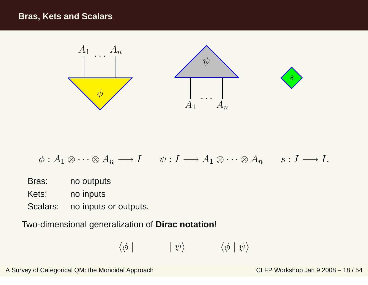

$$
\phi: A_1 \otimes \cdots \otimes A_n \longrightarrow I \qquad \psi: I \longrightarrow A_1 \otimes \cdots \otimes A_n \qquad s: I \longrightarrow I.
$$

- Bras: no outputs
- Kets: no inputs
- Scalars: no inputs or outputs.

Two-dimensional generalization of **Dirac notation**!

$$
\langle \phi | \qquad | \psi \rangle \qquad \langle \phi | \psi \rangle
$$

A Survey of Categorical QM: the Monoidal Approach CLFP Workshop Jan 9 2008 – 18 / 54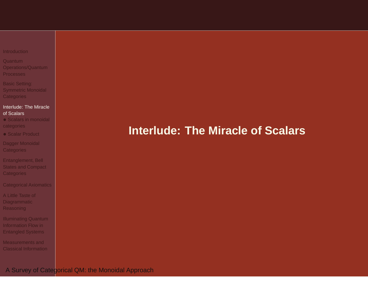<span id="page-44-0"></span>

| Introduction |  |  |
|--------------|--|--|
|              |  |  |

Quantum [Operations/Quantum](#page-11-0)Processes

Basic Setting: Symmetric Monoidal **[Categories](#page-30-0)** 

#### [Interlude:](#page-44-0) The Miracleof Scalars

 • Scalars in monoidal [categories](#page-45-0)

• Scalar [Product](#page-47-0)

Dagger Monoidal **[Categories](#page-48-0)** 

[Entanglement,](#page-54-0) Bell States and Compact **Categories** 

[Categorical](#page-62-0) Axiomatics

A Little Taste of **[Diagrammatic](#page-75-0)** Reasoning

[Illuminating](#page-81-0) Quantum Information Flow inEntangled Systems

[Measurements](#page-88-0) andClassical Information

# **Interlude: The Miracle of Scalars**

A Survey of Categorical QM: the Monoidal Approach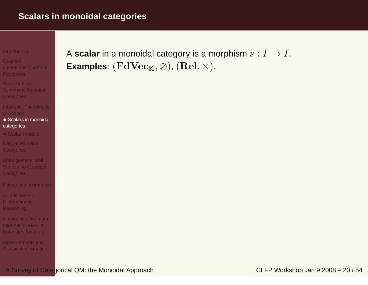#### <span id="page-45-0"></span>**[Introduction](#page-1-0)**

Quantum [Operations/Quantum](#page-11-0)**Processes** 

Basic Setting: Symmetric Monoidal **[Categories](#page-30-0)** 

[Interlude:](#page-44-0) The Miracleof Scalars

- Scalars in monoidal [categories](#page-45-0)
- Scalar [Product](#page-47-0)

Dagger Monoidal **[Categories](#page-48-0)** 

[Entanglement,](#page-54-0) Bell States and Compact **Categories** 

[Categorical](#page-62-0) Axiomatics

A Little Taste of **[Diagrammatic](#page-75-0)** Reasoning

[Illuminating](#page-81-0) Quantum Information Flow inEntangled Systems

[Measurements](#page-88-0) andClassical Information A **scalar** in a monoidal category is a morphism  $s:I\to I.$  Fyamples:  $(Fd\mathbf{V_{OC}}_{\mathbb{F}^r}\otimes)$   $(\mathbf{Rol}\times)$ Examples:  $(\mathbf{FdVec}_{\mathbb{K}},\otimes),(\mathbf{Rel},\times).$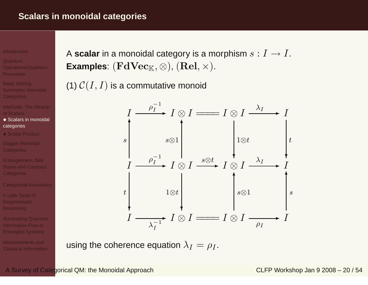#### **[Introduction](#page-1-0)**

- Quantum [Operations/Quantum](#page-11-0)**Processes**
- Basic Setting: Symmetric Monoidal **[Categories](#page-30-0)**
- [Interlude:](#page-44-0) The Miracleof Scalars
- Scalars in monoidal [categories](#page-45-0)
- Scalar [Product](#page-47-0)
- Dagger Monoidal [Categories](#page-48-0)
- [Entanglement,](#page-54-0) Bell **States and Compact** Categories
- [Categorical](#page-62-0) Axiomatics
- A Little Taste of [Diagrammatic](#page-75-0)Reasoning
- [Illuminating](#page-81-0) Quantum Information Flow inEntangled Systems
- [Measurements](#page-88-0) andClassical Information

A **scalar** in a monoidal category is a morphism  $s:I\to I.$  Fyamples:  $(Fd\mathbf{V_{OC}}_{\mathbb{F}^r}\otimes)$   $(\mathbf{Rol}\times)$ Examples:  $(\mathbf{FdVec}_{\mathbb{K}},\otimes),(\mathbf{Rel},\times).$ 

(1)  $\mathcal{C}(I,I)$  is a commutative monoid



using the coherence equation  $\lambda_I = \rho_I.$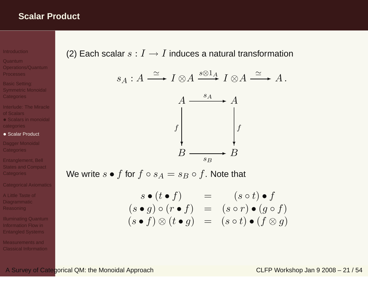### <span id="page-47-0"></span>**Scalar Product**

#### **[Introduction](#page-1-0)**

- Quantum [Operations/Quantum](#page-11-0)**Processes**
- Basic Setting: Symmetric Monoidal **[Categories](#page-30-0)**
- [Interlude:](#page-44-0) The Miracleof Scalars • Scalars in monoidal [categories](#page-45-0)
- Scalar [Product](#page-47-0)
- Dagger Monoidal [Categories](#page-48-0)
- [Entanglement,](#page-54-0) Bell States and Compact Categories
- [Categorical](#page-62-0) Axiomatics
- A Little Taste of **[Diagrammatic](#page-75-0)** Reasoning
- [Illuminating](#page-81-0) Quantum Information Flow inEntangled Systems
- [Measurements](#page-88-0) andClassical Information

(2) Each scalar  $s: I \rightarrow I$  induces a natural transformation

$$
s_A: A \xrightarrow{\simeq} I \otimes A \xrightarrow{s \otimes 1_A} I \otimes A \xrightarrow{\simeq} A.
$$



We write  $s \bullet f$  for  $f \circ s_A = s_B \circ f$ . Note that

$$
s \bullet (t \bullet f) = (s \circ t) \bullet f
$$
  
\n
$$
(s \bullet g) \circ (r \bullet f) = (s \circ r) \bullet (g \circ f)
$$
  
\n
$$
(s \bullet f) \otimes (t \bullet g) = (s \circ t) \bullet (f \otimes g)
$$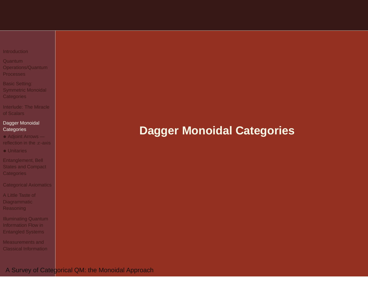<span id="page-48-0"></span>

| Introduction |  |  |  |  |
|--------------|--|--|--|--|
|              |  |  |  |  |

Quantum [Operations/Quantum](#page-11-0)Processes

Basic Setting: Symmetric Monoidal **[Categories](#page-30-0)** 

[Interlude:](#page-44-0) The Miracleof Scalars

### Dagger Monoidal **[Categories](#page-48-0)**

- Adjoint Arrows [reflection](#page-49-0) in the  $x$ -axis
- [Unitaries](#page-51-0)

[Entanglement,](#page-54-0) Bell States and Compact **Categories** 

[Categorical](#page-62-0) Axiomatics

A Little Taste of **[Diagrammatic](#page-75-0)** Reasoning

[Illuminating](#page-81-0) Quantum Information Flow inEntangled Systems

[Measurements](#page-88-0) andClassical Information

# **Dagger Monoidal Categories**

A Survey of Categorical QM: the Monoidal Approach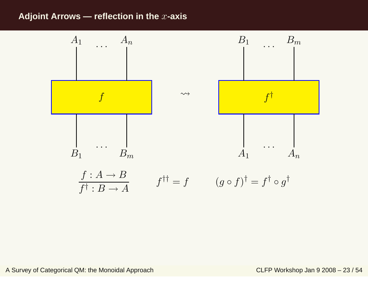### <span id="page-49-0"></span>**Adjoint Arrows — reflection in the**x**-axis**

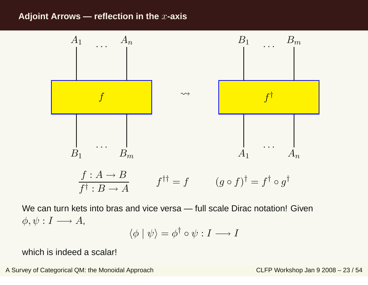### **Adjoint Arrows — reflection in the**x**-axis**



We can turn kets into bras and vice versa — full scale Dirac notation! Given $\phi, \psi: I \longrightarrow A$ ,

$$
\langle \phi | \psi \rangle = \phi^{\dagger} \circ \psi : I \longrightarrow I
$$

which is indeed <sup>a</sup> scalar!

A Survey of Categorical QM: the Monoidal Approach CLFP Workshop Jan 9 2008 – 23 / 54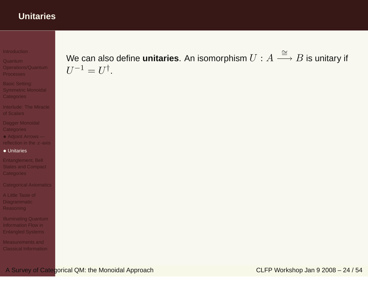### <span id="page-51-0"></span>**Unitaries**

#### **[Introduction](#page-1-0)**

Quantum [Operations/Quantum](#page-11-0)**Processes** 

Basic Setting: Symmetric Monoidal **[Categories](#page-30-0)** 

[Interlude:](#page-44-0) The Miracleof Scalars

Dagger Monoidal **[Categories](#page-48-0)** 

 • Adjoint Arrows [reflection](#page-49-0) in the  $x$ -axis

### • [Unitaries](#page-51-0)

[Entanglement,](#page-54-0) Bell States and Compact **Categories** 

[Categorical](#page-62-0) Axiomatics

A Little Taste of **[Diagrammatic](#page-75-0)** Reasoning

[Illuminating](#page-81-0) Quantum Information Flow inEntangled Systems

[Measurements](#page-88-0) andClassical Information We can also define **unitaries**. An isomorphism  $U : A \stackrel{\cong}{-}$ = $\stackrel{-}{\longrightarrow} B$  is unitary if  $U^{-1} = U^{\dagger}$ .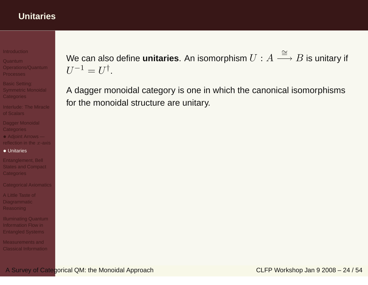### **Unitaries**

**[Introduction](#page-1-0)** 

Quantum [Operations/Quantum](#page-11-0)**Processes** 

Basic Setting: Symmetric Monoidal **[Categories](#page-30-0)** 

[Interlude:](#page-44-0) The Miracleof Scalars

Dagger Monoidal **[Categories](#page-48-0)** 

 • Adjoint Arrows [reflection](#page-49-0) in the  $x$ -axis

### • [Unitaries](#page-51-0)

[Entanglement,](#page-54-0) Bell States and Compact **Categories** 

[Categorical](#page-62-0) Axiomatics

A Little Taste of [Diagrammatic](#page-75-0)Reasoning

[Illuminating](#page-81-0) Quantum Information Flow inEntangled Systems

[Measurements](#page-88-0) andClassical Information We can also define **unitaries**. An isomorphism  $U : A \stackrel{\cong}{-}$ = $\stackrel{-}{\longrightarrow} B$  is unitary if  $U^{-1} = U^{\dagger}$ .

A dagger monoidal category is one in which the canonical isomorphismsfor the monoidal structure are unitary.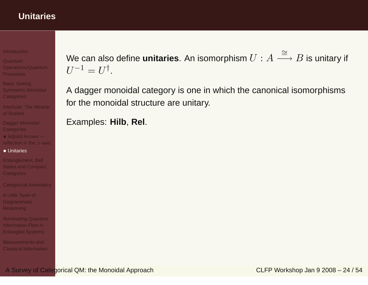### **Unitaries**

**[Introduction](#page-1-0)** 

- Quantum [Operations/Quantum](#page-11-0)**Processes**
- Basic Setting: Symmetric Monoidal **[Categories](#page-30-0)**
- [Interlude:](#page-44-0) The Miracleof Scalars
- Dagger Monoidal **[Categories](#page-48-0)**
- Adjoint Arrows [reflection](#page-49-0) in the  $x$ -axis
- [Unitaries](#page-51-0)
- [Entanglement,](#page-54-0) Bell States and Compact **Categories**

[Categorical](#page-62-0) Axiomatics

A Little Taste of [Diagrammatic](#page-75-0)Reasoning

[Illuminating](#page-81-0) Quantum Information Flow inEntangled Systems

[Measurements](#page-88-0) andClassical Information We can also define **unitaries**. An isomorphism  $U : A \stackrel{\cong}{-}$ = $\stackrel{-}{\longrightarrow} B$  is unitary if  $U^{-1} = U^{\dagger}$ .

A dagger monoidal category is one in which the canonical isomorphismsfor the monoidal structure are unitary.

Examples: **Hilb**, **Rel**.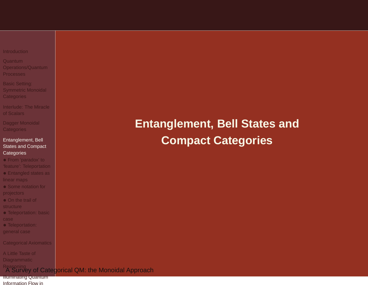#### <span id="page-54-0"></span>**[Introduction](#page-1-0)**

Quantum [Operations/Quantum](#page-11-0)Processes

Basic Setting: Symmetric Monoidal **[Categories](#page-30-0)** 

[Interlude:](#page-44-0) The Miracleof Scalars

Dagger Monoidal **[Categories](#page-48-0)** 

#### [Entanglement,](#page-54-0) Bell States and Compact **Categories**

• From 'paradox' to 'feature': [Teleportation](#page-55-0)

• [Entangled](#page-56-0) states as linear maps

• Some notation for [projectors](#page-57-0)

• On the trail of **[structure](#page-59-0)** 

• [Teleportation:](#page-60-0) basic

• [Teleportation:](#page-61-0) general case

[Categorical](#page-62-0) Axiomatics

A Little Taste of **[Diagrammatic](#page-75-0)** 

### Reasoning<br>A Survey of Categ<mark>orical QM: the Monoidal Approach</mark>

[Illuminating](#page-81-0) QuantumInformation Flow in

# **Entanglement, Bell States andCompact Categories**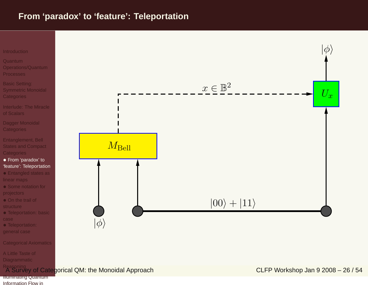### <span id="page-55-0"></span>**From 'paradox' to 'feature': Teleportation**



general case

[Categorical](#page-62-0) Axiomatics

A Little Taste of **[Diagrammatic](#page-75-0)** 

Reasoning<br>A Survey of Cate<mark>gorical QM: the Monoidal Approach</mark> CLFP Workshop Jan 9 2008 – 26 / 54

[Illuminating](#page-81-0) QuantumInformation Flow in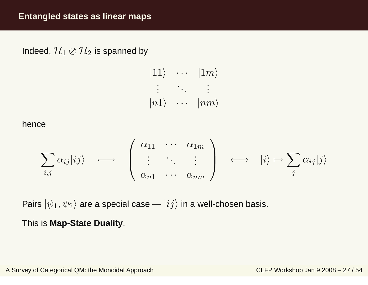<span id="page-56-0"></span>Indeed,  $\mathcal{H}_1\otimes\mathcal{H}_2$  is spanned by

$$
|11\rangle \cdots |1m\rangle
$$
  
\n
$$
\vdots \cdots |nm\rangle
$$
  
\n
$$
|n1\rangle \cdots |nm\rangle
$$

hence

$$
\sum_{i,j} \alpha_{ij} |ij\rangle \longleftrightarrow \begin{pmatrix} \alpha_{11} & \cdots & \alpha_{1m} \\ \vdots & \ddots & \vdots \\ \alpha_{n1} & \cdots & \alpha_{nm} \end{pmatrix} \longleftrightarrow |i\rangle \mapsto \sum_{j} \alpha_{ij} |j\rangle
$$

Pairs  $|\psi_1,\psi_2\rangle$  are a special case —  $|ij\rangle$  in a well-chosen basis.

This is **Map-State Duality**.

A Survey of Categorical QM: the Monoidal Approach CLFP Workshop Jan 9 2008 – <sup>27</sup> / 54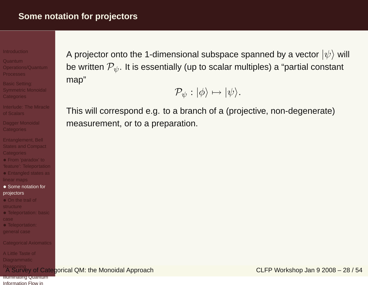#### <span id="page-57-0"></span>**[Introduction](#page-1-0)**

- Quantum [Operations/Quantum](#page-11-0)Processes
- Basic Setting: Symmetric Monoidal **[Categories](#page-30-0)**
- [Interlude:](#page-44-0) The Miracleof Scalars
- Dagger Monoidal **[Categories](#page-48-0)**
- [Entanglement,](#page-54-0) Bell States and Compact **Categories**
- From 'paradox' to 'feature': [Teleportation](#page-55-0)
- [Entangled](#page-56-0) states as linear maps
- Some notation for [projectors](#page-57-0)
- On the trail of
- **[structure](#page-59-0)**
- [Teleportation:](#page-60-0) basic
- [Teleportation:](#page-61-0)
- general case
- [Categorical](#page-62-0) Axiomatics

A Little Taste of [Diagrammatic](#page-75-0)

```
Reasoning<br>A Survey of Cate<mark>gorical QM: the Monoidal Approach</mark> CLFP Workshop Jan 9 2008 – 28 / 54
```
**[Illuminating](#page-81-0) Quantum** Information Flow in

A projector onto the 1-dimensional subspace spanned by a vector  $\ket{\psi}$  will be written  $\mathcal{P}_{\psi}.$  It is essentially (up to scalar multiples) a "partial constant map"

$$
\mathcal{P}_{\psi}:|\phi\rangle\mapsto|\psi\rangle.
$$

This will correspond e.g. to <sup>a</sup> branch of <sup>a</sup> (projective, non-degenerate)measurement, or to <sup>a</sup> preparation.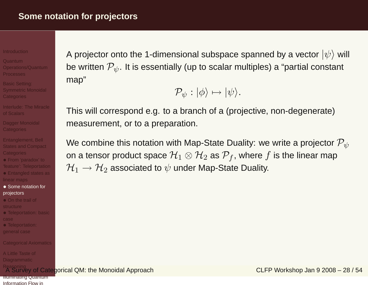#### **[Introduction](#page-1-0)**

- Quantum [Operations/Quantum](#page-11-0)**Processes**
- Basic Setting: Symmetric Monoidal **[Categories](#page-30-0)**
- [Interlude:](#page-44-0) The Miracleof Scalars
- Dagger Monoidal **[Categories](#page-48-0)**
- [Entanglement,](#page-54-0) Bell States and Compact **Categories**
- From 'paradox' to 'feature': [Teleportation](#page-55-0)
- [Entangled](#page-56-0) states as linear maps
- Some notation for [projectors](#page-57-0)
- On the trail of [structure](#page-59-0)
- [Teleportation:](#page-60-0) basic
- 
- [Teleportation:](#page-61-0) general case
- [Categorical](#page-62-0) Axiomatics

A Little Taste of [Diagrammatic](#page-75-0)

```
Reasoning<br>A Survey of Cate<mark>gorical QM: the Monoidal Approach</mark> CLFP Workshop Jan 9 2008 – 28 / 54
```
A projector onto the 1-dimensional subspace spanned by a vector  $\ket{\psi}$  will be written  $\mathcal{P}_{\psi}.$  It is essentially (up to scalar multiples) a "partial constant map"

$$
\mathcal{P}_{\psi}:|\phi\rangle\mapsto|\psi\rangle.
$$

This will correspond e.g. to <sup>a</sup> branch of <sup>a</sup> (projective, non-degenerate)measurement, or to <sup>a</sup> preparation.

We combine this notation with Map-State Duality: we write a projector  $\mathcal{P}_{\psi}$ on a tensor product space  $\mathcal{H}_1\otimes\mathcal{H}_2$  as  $\mathcal{P}_f$ , where  $f$  is the linear map  $\mathcal{H}_{1} \rightarrow \mathcal{H}_{2}$  associated to  $\psi$  under Map-State Duality.

**[Illuminating](#page-81-0) Quantum** Information Flow in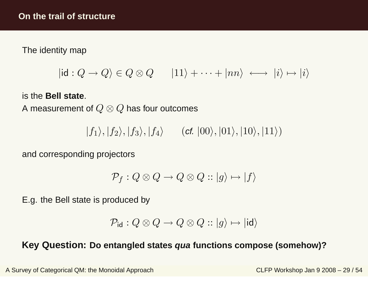<span id="page-59-0"></span>The identity map

$$
|id: Q \to Q \rangle \in Q \otimes Q \qquad |11\rangle + \cdots + |nn\rangle \iff |i\rangle \mapsto |i\rangle
$$

is the **Bell state**.

A measurement of  $Q \otimes Q$  has four outcomes

 $|f_1\rangle, |f_2\rangle, |f_3\rangle, |f_4\rangle \qquad (\mathsf{cf.}\ |00\rangle, |01\rangle, |10\rangle, |11\rangle)$ 

and corresponding projectors

$$
\mathcal{P}_f: Q \otimes Q \to Q \otimes Q :: |g\rangle \mapsto |f\rangle
$$

E.g. the Bell state is produced by

$$
\mathcal{P}_{\mathsf{id}}: Q \otimes Q \to Q \otimes Q :: |g\rangle \mapsto | \mathsf{id} \rangle
$$

# **Key Question: Do entangled states qua functions compose (somehow)?**

A Survey of Categorical QM: the Monoidal Approach CLFP Workshop Jan 9 2008 – 29 / 54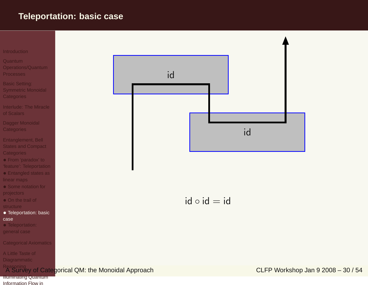### <span id="page-60-0"></span>**Teleportation: basic case**



[Illuminating](#page-81-0) QuantumInformation Flow in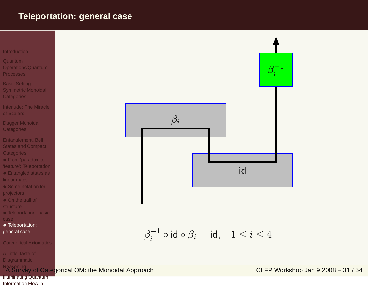### <span id="page-61-0"></span>**Teleportation: general case**



- **Quantum**  [Operations/Quantum](#page-11-0)Processes
- Basic Setting: Symmetric Monoidal **[Categories](#page-30-0)**
- [Interlude:](#page-44-0) The Miracleof Scalars
- Dagger Monoidal **[Categories](#page-48-0)**
- [Entanglement,](#page-54-0) Bell States and Compact **Categories**
- From 'paradox' to 'feature': [Teleportation](#page-55-0)
- [Entangled](#page-56-0) states as linear maps
- Some notation for [projectors](#page-57-0)
- On the trail of **[structure](#page-59-0)**
- [Teleportation:](#page-60-0) basic
- [Teleportation:](#page-61-0) general case

[Categorical](#page-62-0) Axiomatics

A Little Taste of **[Diagrammatic](#page-75-0)** 



[Illuminating](#page-81-0) QuantumInformation Flow in



$$
\beta_i^{-1} \circ \mathsf{id} \circ \beta_i = \mathsf{id}, \quad 1 \leq i \leq 4
$$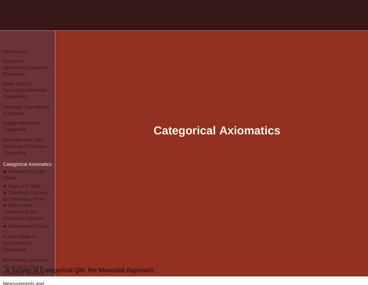#### <span id="page-62-0"></span>**[Introduction](#page-1-0)**

- Quantum [Operations/Quantum](#page-11-0)Processes
- Basic Setting: Symmetric Monoidal **[Categories](#page-30-0)**
- [Interlude:](#page-44-0) The Miracleof Scalars
- Dagger Monoidal **[Categories](#page-48-0)**
- [Entanglement,](#page-54-0) Bell States and Compact **Categories**

#### [Categorical](#page-62-0) Axiomatics

- [Axiomatizing](#page-63-0) Bell **States**
- [Cups](#page-71-0) and Caps
- [Graphical](#page-72-0) Calculus for Information Flow
- Names and Conames in the[Graphical](#page-73-0) Calculus
- [Definition](#page-74-0) of Duality
- A Little Taste of **[Diagrammatic](#page-75-0)** Reasoning

Illuminating Quantum

## Information Flow in<br>La [Survey](#page-81-0) of Categ<mark>orical QM: the Monoidal Approach</mark><br>Entangled Systems

#### [Measurements](#page-88-0) and

# **Categorical Axiomatics**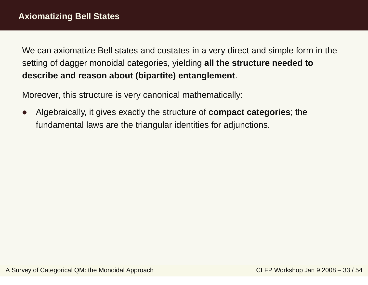Moreover, this structure is very canonical mathematically:

 $\bullet$  Algebraically, it gives exactly the structure of **compact categories**; the fundamental laws are the triangular identities for adjunctions.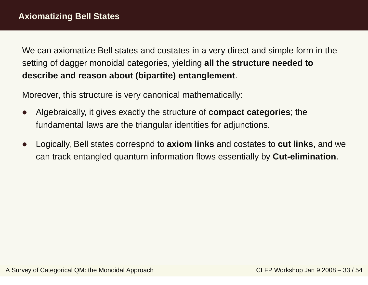- $\bullet$  Algebraically, it gives exactly the structure of **compact categories**; the fundamental laws are the triangular identities for adjunctions.
- $\bullet$  Logically, Bell states correspnd to **axiom links** and costates to **cut links**, and we can track entangled quantum information flows essentially by **Cut-elimination**.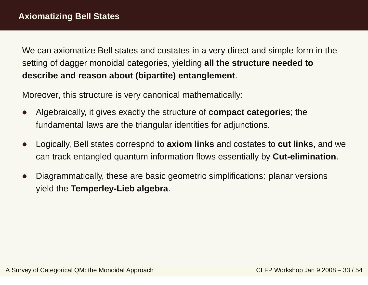- $\bullet$  Algebraically, it gives exactly the structure of **compact categories**; the fundamental laws are the triangular identities for adjunctions.
- $\bullet$  Logically, Bell states correspnd to **axiom links** and costates to **cut links**, and we can track entangled quantum information flows essentially by **Cut-elimination**.
- $\bullet$  Diagrammatically, these are basic geometric simplifications: planar versions yield the **Temperley-Lieb algebra**.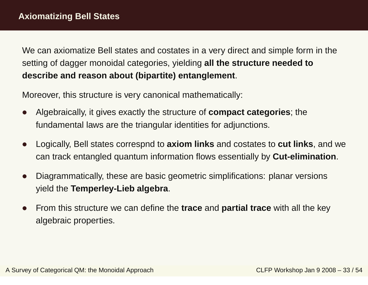- $\bullet$  Algebraically, it gives exactly the structure of **compact categories**; the fundamental laws are the triangular identities for adjunctions.
- $\bullet$  Logically, Bell states correspnd to **axiom links** and costates to **cut links**, and we can track entangled quantum information flows essentially by **Cut-elimination**.
- $\bullet$  Diagrammatically, these are basic geometric simplifications: planar versions yield the **Temperley-Lieb algebra**.
- $\bullet$  From this structure we can define the **trace** and **partial trace** with all the key algebraic properties.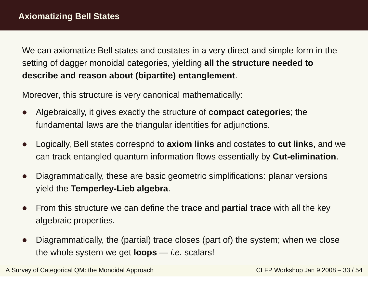Moreover, this structure is very canonical mathematically:

- $\bullet$  Algebraically, it gives exactly the structure of **compact categories**; the fundamental laws are the triangular identities for adjunctions.
- $\bullet$  Logically, Bell states correspnd to **axiom links** and costates to **cut links**, and we can track entangled quantum information flows essentially by **Cut-elimination**.
- $\bullet$  Diagrammatically, these are basic geometric simplifications: planar versions yield the **Temperley-Lieb algebra**.
- $\bullet$  From this structure we can define the **trace** and **partial trace** with all the key algebraic properties.
- $\bullet$  Diagrammatically, the (partial) trace closes (part of) the system; when we close the whole system we get **loops** — i.e. scalars!

A Survey of Categorical QM: the Monoidal Approach CLFP Workshop Jan 9 2008 – 33 / 54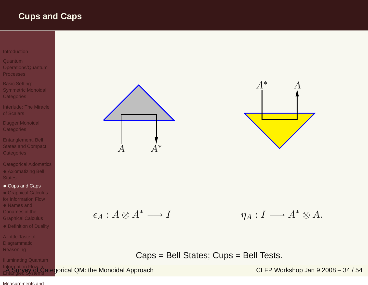### <span id="page-71-0"></span>**Cups and Caps**

#### [Introduction](#page-1-0)

- Quantum[Operations/Quantum](#page-11-0)
- Processes
- Basic Setting: Symmetric Monoidal **[Categories](#page-30-0)**
- [Interlude:](#page-44-0) The Miracleof Scalars
- Dagger Monoidal **[Categories](#page-48-0)**
- [Entanglement,](#page-54-0) Bell States and Compact **Categories**
- [Categorical](#page-62-0) Axiomatics• [Axiomatizing](#page-63-0) Bell **States**
- [Cups](#page-71-0) and Caps
- [Graphical](#page-72-0) Calculus for Information Flow
- Names and Conames in the[Graphical](#page-73-0) Calculus
- [Definition](#page-74-0) of Duality
- A Little Taste of **[Diagrammatic](#page-75-0)** Reasoning
- Illuminating Quantum





$$
\epsilon_A: A \otimes A^* \longrightarrow I \qquad \eta_A: I \longrightarrow A^* \otimes A.
$$

Caps <sup>=</sup> Bell States; Cups <sup>=</sup> Bell Tests.

Information Flow i<mark>n</mark> Flow in Flow in Electric CLFP Workshop Jan 9 2008 – 34 / 54<br>Entangled Systems at a glorical QM: the Monoidal Approach CLFP Workshop Jan 9 2008 – 34 / 54

#### [Measurements](#page-88-0) and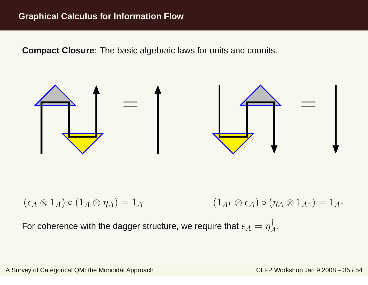<span id="page-72-0"></span>**Compact Closure**: The basic algebraic laws for units and counits.



 $(\epsilon_A\otimes 1_A)\circ (1_A\otimes \eta_A)=1_A$  $A$  (1)  $_A{}_*\otimes \epsilon_A) \circ (\eta_A\otimes 1_{A^*}$  $\ast) = 1_{A^*}$ 

For coherence with the dagger structure, we require that  $\epsilon_A=\eta$ † A.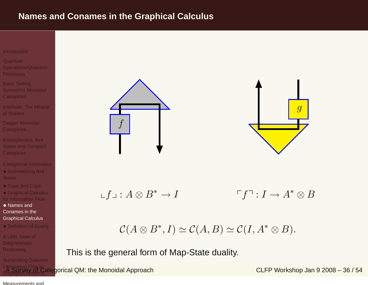### <span id="page-73-0"></span>**Names and Conames in the Graphical Calculus**

#### **[Introduction](#page-1-0)**

- Quantum [Operations/Quantum](#page-11-0)**Processes**
- Basic Setting: Symmetric Monoidal **[Categories](#page-30-0)**
- [Interlude:](#page-44-0) The Miracleof Scalars
- Dagger Monoidal **[Categories](#page-48-0)**
- [Entanglement,](#page-54-0) Bell States and Compact **Categories**
- [Categorical](#page-62-0) Axiomatics• [Axiomatizing](#page-63-0) Bell **States**
- [Cups](#page-71-0) and Caps
- [Graphical](#page-72-0) Calculus for Information Flow
- Names and Conames in the[Graphical](#page-73-0) Calculus
- [Definition](#page-74-0) of Duality

A Little Taste of **[Diagrammatic](#page-75-0) Reasoning** 

Illuminating Quantum





$$
\mathcal{L}f \mathcal{L}: A \otimes B^* \to I \qquad \qquad \ulcorner f \urcorner : I \to A^* \otimes B
$$

$$
\mathcal{C}(A\otimes B^*,I)\simeq \mathcal{C}(A,B)\simeq \mathcal{C}(I,A^*\otimes B).
$$

This is the general form of Map-State duality.

Information Flow i<mark>n</mark> Flow in Flow in Electric CLFP Workshop Jan 9 2008 – 36 / 54<br>Entangled Systems at a glorical QM: the Monoidal Approach CLFP Workshop Jan 9 2008 – 36 / 54

[Measurements](#page-88-0) and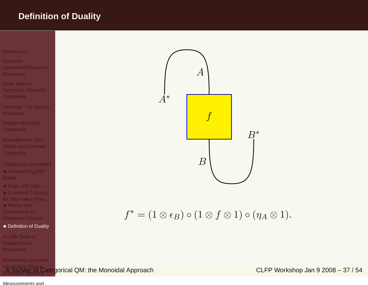### <span id="page-74-0"></span>**Definition of Duality**



 $f^* = (1 \otimes \epsilon_B) \circ (1 \otimes f \otimes 1) \circ (\eta_A \otimes 1).$ 

Information Flow i<mark>n</mark> Flow in Flow in Electrical QM: the Monoidal Approach CLER CLFP Workshop Jan 9 2008 – 37 / 54<br>Entangled Systems

#### [Measurements](#page-88-0) and

Conames in the[Graphical](#page-73-0) Calculus

A Little Taste of **[Diagrammatic](#page-75-0) Reasoning** 

• [Definition](#page-74-0) of Duality

Illuminating Quantum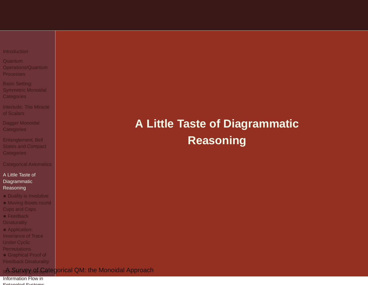<span id="page-75-0"></span>

|  | Introduction |  |  |  |  |  |
|--|--------------|--|--|--|--|--|
|  |              |  |  |  |  |  |

Quantum [Operations/Quantum](#page-11-0)**Processes** 

Basic Setting: Symmetric Monoidal **[Categories](#page-30-0)** 

[Interlude:](#page-44-0) The Miracleof Scalars

Dagger Monoidal **[Categories](#page-48-0)** 

[Entanglement,](#page-54-0) Bell States and Compact **Categories** 

[Categorical](#page-62-0) Axiomatics

#### A Little Taste of [Diagrammatic](#page-75-0)Reasoning

- Duality is [Involutive](#page-76-0)
- [Moving](#page-77-0) Boxes round Cups and Caps
- Feedback **[Dinaturality](#page-78-0)**
- [Application:](#page-79-0)
- Invariance of Trace
- Under Cyclic
- **Permutations**
- Graphical Proof of
- Feedback [Dinaturality](#page-80-0)

ııA Survey Qf Categ<mark>orical QM: the Monoidal Approach</mark>

Information Flow inEntangled Systems

# **A Little Taste of DiagrammaticReasoning**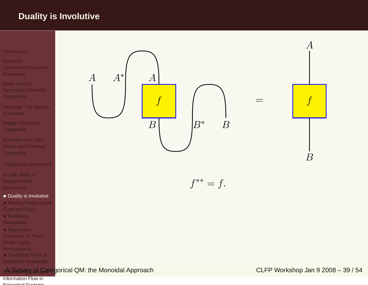### <span id="page-76-0"></span>**Duality is Involutive**

#### [Introduction](#page-1-0)

- **Quantum**  [Operations/Quantum](#page-11-0)Processes
- Basic Setting: Symmetric Monoidal **[Categories](#page-30-0)**
- [Interlude:](#page-44-0) The Miracleof Scalars
- Dagger Monoidal **[Categories](#page-48-0)**
- [Entanglement,](#page-54-0) Bell States and Compact **Categories**
- [Categorical](#page-62-0) Axiomatics
- A Little Taste of **[Diagrammatic](#page-75-0)** Reasoning
- Duality is [Involutive](#page-76-0)
- [Moving](#page-77-0) Boxes round Cups and Caps
- Feedback **[Dinaturality](#page-78-0)**
- [Application:](#page-79-0)
- Invariance of Trace
- Under Cyclic
- **Permutations**
- Graphical Proof of
- Feedback [Dinaturality](#page-80-0)





 $f^{**} = f.$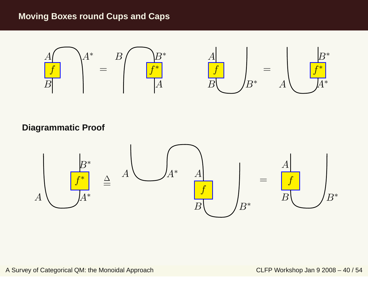### <span id="page-77-0"></span>**Moving Boxes round Cups and Caps**



**Diagrammatic Proof**

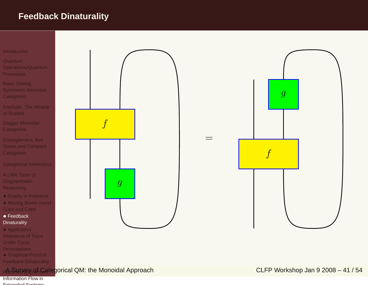## <span id="page-78-0"></span>**Feedback Dinaturality**



- Under Cyclic
- **Permutations**
- Graphical Proof of
- Feedback [Dinaturality](#page-80-0)

### [Illuminating](#page-81-0) QuantumA Survey of Categorical QM: the Monoidal Approach CLFP Workshop Jan 9 2008 – <sup>41</sup> / 54

Information Flow inEntangled Systems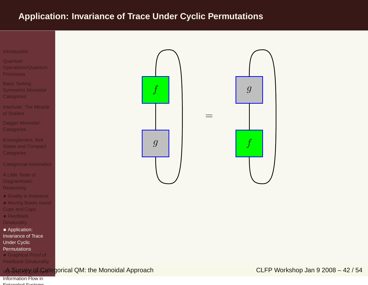## <span id="page-79-0"></span>**Application: Invariance of Trace Under Cyclic Permutations**



Quantum [Operations/Quantum](#page-11-0)Processes

Basic Setting: Symmetric Monoidal **[Categories](#page-30-0)** 

[Interlude:](#page-44-0) The Miracleof Scalars

Dagger Monoidal **[Categories](#page-48-0)** 

[Entanglement,](#page-54-0) Bell States and Compact **Categories** 

[Categorical](#page-62-0) Axiomatics

A Little Taste of **[Diagrammatic](#page-75-0) Reasoning** 

- Duality is [Involutive](#page-76-0)
- [Moving](#page-77-0) Boxes round Cups and Caps
- Feedback **[Dinaturality](#page-78-0)**

 • [Application:](#page-79-0) Invariance of TraceUnder Cyclic

Permutations

• Graphical Proof of

Feedback [Dinaturality](#page-80-0)

 $\|A_n\|$ ୟ $\|$ ନୁଧ $\|Q_n\|$ ନୁ $\|A_n\|$  Survey of CLFP Workshop Jan 9 2008 – 42 / 54

Information Flow inEntangled Systems

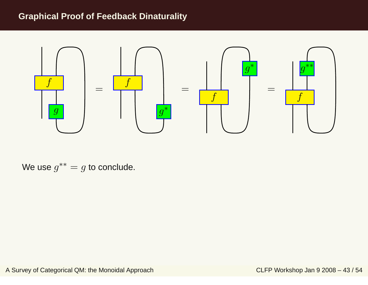### <span id="page-80-0"></span>**Graphical Proof of Feedback Dinaturality**



We use  $g^{\ast\ast}=g$  to conclude.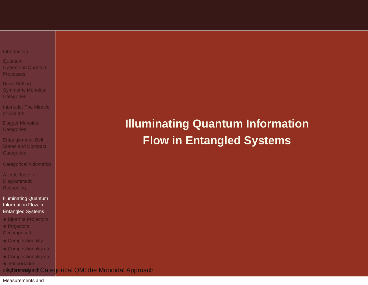#### <span id="page-81-0"></span>**[Introduction](#page-1-0)**

Quantum [Operations/Quantum](#page-11-0)**Processes** 

Basic Setting: Symmetric Monoidal **[Categories](#page-30-0)** 

[Interlude:](#page-44-0) The Miracleof Scalars

Dagger Monoidal **[Categories](#page-48-0)** 

[Entanglement,](#page-54-0) Bell States and Compact **Categories** 

[Categorical](#page-62-0) Axiomatics

A Little Taste of **[Diagrammatic](#page-75-0)** Reasoning

#### [Illuminating](#page-81-0) QuantumInformation Flow inEntangled Systems

- Bipartite [Projectors](#page-82-0)
- Projectors

**[Decomposed](#page-83-0)** 

- [Compositionality](#page-84-0)
- [Compositionality](#page-85-0) ctd
- [Compositionality](#page-86-0) ctd
- Teleportation

di**AgSurveyad∮ Categ<mark>o</mark>rical QM: the Monoidal Approach** 

#### [Measurements](#page-88-0) and

**Illuminating Quantum InformationFlow in Entangled Systems**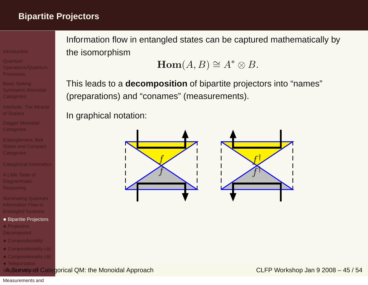## <span id="page-82-0"></span>**Bipartite Projectors**

#### **[Introduction](#page-1-0)**

- Quantum [Operations/Quantum](#page-11-0)**Processes**
- Basic Setting: Symmetric Monoidal **[Categories](#page-30-0)**
- [Interlude:](#page-44-0) The Miracleof Scalars
- Dagger Monoidal **[Categories](#page-48-0)**
- [Entanglement,](#page-54-0) Bell States and Compact **Categories**
- [Categorical](#page-62-0) Axiomatics
- A Little Taste of [Diagrammatic](#page-75-0)**Reasoning**
- [Illuminating](#page-81-0) Quantum Information Flow inEntangled Systems
- Bipartite [Projectors](#page-82-0)
- Projectors **[Decomposed](#page-83-0)**
- [Compositionality](#page-84-0)
- [Compositionality](#page-85-0) ctd
- [Compositionality](#page-86-0) ctd
- Teleportation
- [diagrammatically](#page-87-0)A Survey of Categorical QM: the Monoidal Approach CLFP Workshop Jan 9 2008 45 / 54

Information flow in entangled states can be captured mathematically bythe isomorphism

$$
\textbf{Hom}(A,B)\cong A^*\otimes B.
$$

This leads to <sup>a</sup> **decomposition** of bipartite projectors into "names" (preparations) and "conames" (measurements).

In graphical notation:



[Measurements](#page-88-0) and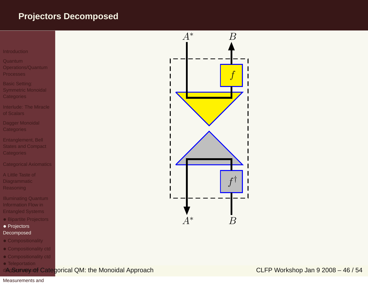### <span id="page-83-0"></span>**Projectors Decomposed**



Quantum [Operations/Quantum](#page-11-0)Processes

Basic Setting: Symmetric Monoidal **[Categories](#page-30-0)** 

[Interlude:](#page-44-0) The Miracleof Scalars

Dagger Monoidal **[Categories](#page-48-0)** 

[Entanglement,](#page-54-0) Bell States and Compact **Categories** 

[Categorical](#page-62-0) Axiomatics

A Little Taste of **[Diagrammatic](#page-75-0)** Reasoning

[Illuminating](#page-81-0) Quantum Information Flow inEntangled Systems

- Bipartite [Projectors](#page-82-0)
- Projectors **[Decomposed](#page-83-0)**
- [Compositionality](#page-84-0)
- [Compositionality](#page-85-0) ctd
- [Compositionality](#page-86-0) ctd
- Teleportation

diAgSurivey of Categorical QM: the Monoidal Approach CLFP Workshop Jan 9 2008 – 46 / 54



#### [Measurements](#page-88-0) and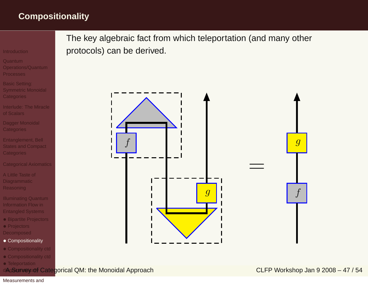## <span id="page-84-0"></span>**Compositionality**

**[Introduction](#page-1-0)** 

Quantum [Operations/Quantum](#page-11-0)Processes

Basic Setting: Symmetric Monoidal **[Categories](#page-30-0)** 

[Interlude:](#page-44-0) The Miracleof Scalars

Dagger Monoidal **[Categories](#page-48-0)** 

[Entanglement,](#page-54-0) Bell States and Compact **Categories** 

[Categorical](#page-62-0) Axiomatics

A Little Taste of **[Diagrammatic](#page-75-0) Reasoning** 

[Illuminating](#page-81-0) Quantum Information Flow inEntangled Systems

• Bipartite [Projectors](#page-82-0)

• Projectors

**[Decomposed](#page-83-0)** 

- [Compositionality](#page-84-0)
- [Compositionality](#page-85-0) ctd
- [Compositionality](#page-86-0) ctd
- Teleportation

[diagrammatically](#page-87-0)A Survey of Categorical QM: the Monoidal Approach CLFP Workshop Jan 9 2008 – <sup>47</sup> / 54

The key algebraic fact from which teleportation (and many otherprotocols) can be derived.

> f $\overline{g}$ =fg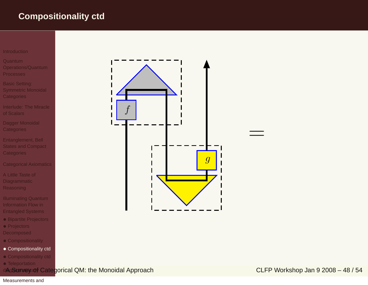## <span id="page-85-0"></span>**Compositionality ctd**

- Quantum [Operations/Quantum](#page-11-0)Processes
- Basic Setting: Symmetric Monoidal **[Categories](#page-30-0)**
- [Interlude:](#page-44-0) The Miracleof Scalars
- Dagger Monoidal **[Categories](#page-48-0)**
- [Entanglement,](#page-54-0) Bell States and Compact **Categories**
- [Categorical](#page-62-0) Axiomatics
- A Little Taste of **[Diagrammatic](#page-75-0)** Reasoning
- [Illuminating](#page-81-0) Quantum Information Flow inEntangled Systems
- Bipartite [Projectors](#page-82-0)
- Projectors
- **[Decomposed](#page-83-0)**
- [Compositionality](#page-84-0)
- [Compositionality](#page-85-0) ctd
- [Compositionality](#page-86-0) ctd
- Teleportation



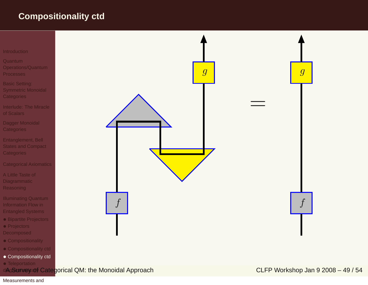## <span id="page-86-0"></span>**Compositionality ctd**

#### [Introduction](#page-1-0)

- **Quantum**  [Operations/Quantum](#page-11-0)Processes
- Basic Setting: Symmetric Monoidal **[Categories](#page-30-0)**
- [Interlude:](#page-44-0) The Miracleof Scalars
- Dagger Monoidal **[Categories](#page-48-0)**
- [Entanglement,](#page-54-0) Bell States and Compact **Categories**
- [Categorical](#page-62-0) Axiomatics
- A Little Taste of **[Diagrammatic](#page-75-0)** Reasoning
- [Illuminating](#page-81-0) Quantum Information Flow inEntangled Systems
- Bipartite [Projectors](#page-82-0)
- Projectors
- **[Decomposed](#page-83-0)**
- [Compositionality](#page-84-0)
- [Compositionality](#page-85-0) ctd
- [Compositionality](#page-86-0) ctd
- Teleportation
- diAgSurivey of Categorical QM: the Monoidal Approach CLFP Workshop Jan 9 2008 49 / 54



#### [Measurements](#page-88-0) and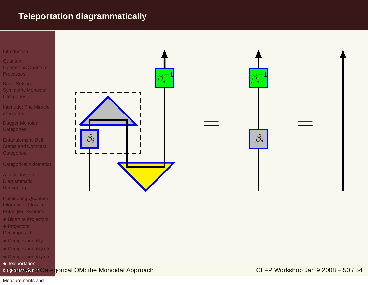### <span id="page-87-0"></span>**Teleportation diagrammatically**

#### [Introduction](#page-1-0)

- Quantum [Operations/Quantum](#page-11-0)Processes
- Basic Setting: Symmetric Monoidal **[Categories](#page-30-0)**
- [Interlude:](#page-44-0) The Miracle of Scalars
- Dagger Monoidal **[Categories](#page-48-0)**
- [Entanglement,](#page-54-0) Bell States and Compact **Categories**
- [Categorical](#page-62-0) Axiomatics
- A Little Taste of **[Diagrammatic](#page-75-0)** Reasoning
- [Illuminating](#page-81-0) Quantum Information Flow inEntangled Systems
- Bipartite [Projectors](#page-82-0)
- Projectors
- **[Decomposed](#page-83-0)**
- [Compositionality](#page-84-0)
- [Compositionality](#page-85-0) ctd
- [Compositionality](#page-86-0) ctd
- Teleportation





=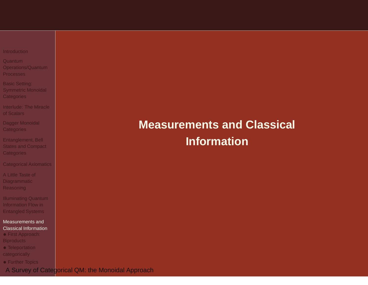<span id="page-88-0"></span>

|  |  | Introduction |  |  |  |  |  |  |
|--|--|--------------|--|--|--|--|--|--|
|  |  |              |  |  |  |  |  |  |

Quantum [Operations/Quantum](#page-11-0)Processes

Basic Setting: Symmetric Monoidal **[Categories](#page-30-0)** 

[Interlude:](#page-44-0) The Miracleof Scalars

Dagger Monoidal **[Categories](#page-48-0)** 

[Entanglement,](#page-54-0) Bell States and Compact **Categories** 

[Categorical](#page-62-0) Axiomatics

A Little Taste of **[Diagrammatic](#page-75-0)** Reasoning

[Illuminating](#page-81-0) Quantum Information Flow inEntangled Systems

#### [Measurements](#page-88-0) andClassical Information

• First Approach: **[Biproducts](#page-89-0)** 

• [Teleportation](#page-90-0) categorically

• Further [Topics](#page-92-0)

A Survey of Categorical QM: the Monoidal Approach

# **Measurements and Classical Information**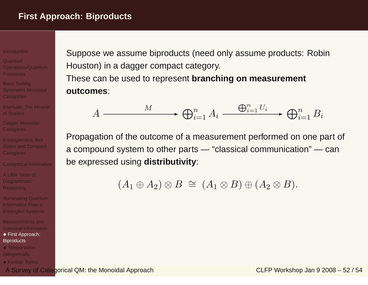#### <span id="page-89-0"></span>**[Introduction](#page-1-0)**

Quantum [Operations/Quantum](#page-11-0)Processes

Basic Setting: Symmetric Monoidal [Categories](#page-30-0)

[Interlude:](#page-44-0) The Miracleof Scalars

Dagger Monoidal **[Categories](#page-48-0)** 

[Entanglement,](#page-54-0) Bell States and Compact Categories

[Categorical](#page-62-0) Axiomatics

A Little Taste of [Diagrammatic](#page-75-0)Reasoning

[Illuminating](#page-81-0) Quantum Information Flow inEntangled Systems

[Measurements](#page-88-0) and Classical Information• First Approach:

### **[Biproducts](#page-89-0)**

• [Teleportation](#page-90-0) categorically

• Further [Topics](#page-92-0)

Suppose we assume biproducts (need only assume products: RobinHouston) in <sup>a</sup> dagger compact category. These can be used to represent **branching on measurementoutcomes**:

$$
A \xrightarrow{M} \bigoplus_{i=1}^{n} A_i \xrightarrow{\bigoplus_{i=1}^{n} U_i} \bigoplus_{i=1}^{n} B_i
$$

Propagation of the outcome of <sup>a</sup> measurement performed on one part of <sup>a</sup> compound system to other parts — "classical communication" — canbe expressed using **distributivity**:

 $(A_1 \oplus A_2) \otimes B \cong (A_1 \otimes B) \oplus (A_2 \otimes B).$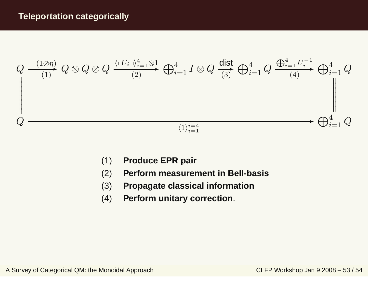<span id="page-90-0"></span>

- (1)**Produce EPR pair**
- (2)**Perform measurement in Bell-basis**
- (3)**Propagate classical information**
- (4)**Perform unitary correction**.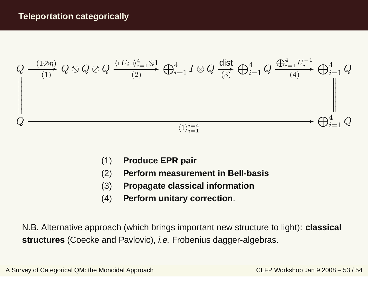

- (1)**Produce EPR pair**
- (2)**Perform measurement in Bell-basis**
- (3)**Propagate classical information**
- (4)**Perform unitary correction**.

N.B. Alternative approach (which brings important new structure to light): **classical structures** (Coecke and Pavlovic), i.e. Frobenius dagger-algebras.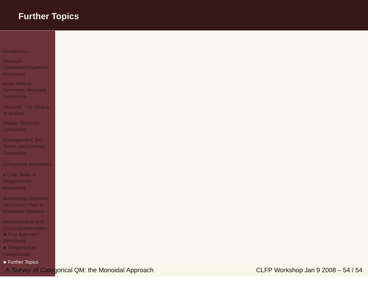- <span id="page-92-0"></span>**Quantum**  [Operations/Quantum](#page-11-0)Processes
- Basic Setting: Symmetric Monoidal **[Categories](#page-30-0)**
- [Interlude:](#page-44-0) The Miracleof Scalars
- Dagger Monoidal **[Categories](#page-48-0)**
- [Entanglement,](#page-54-0) Bell States and Compact **Categories**
- [Categorical](#page-62-0) Axiomatics
- A Little Taste of **[Diagrammatic](#page-75-0)** Reasoning
- [Illuminating](#page-81-0) Quantum Information Flow inEntangled Systems
- [Measurements](#page-88-0) and Classical Information• First Approach: **[Biproducts](#page-89-0)**
- [Teleportation](#page-90-0) categorically
- Further [Topics](#page-92-0)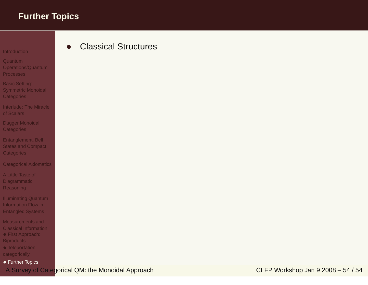•

#### **[Introduction](#page-1-0)**

Quantum [Operations/Quantum](#page-11-0)Processes

Basic Setting: Symmetric Monoidal **[Categories](#page-30-0)** 

[Interlude:](#page-44-0) The Miracleof Scalars

Dagger Monoidal **[Categories](#page-48-0)** 

[Entanglement,](#page-54-0) Bell States and Compact **Categories** 

[Categorical](#page-62-0) Axiomatics

A Little Taste of **[Diagrammatic](#page-75-0)** Reasoning

[Illuminating](#page-81-0) Quantum Information Flow inEntangled Systems

[Measurements](#page-88-0) and Classical Information• First Approach: **[Biproducts](#page-89-0)** 

• [Teleportation](#page-90-0) categorically

• Further [Topics](#page-92-0)

Classical Structures

A Survey of Categorical QM: the Monoidal Approach CLFP Workshop Jan 9 2008 – 54 / 54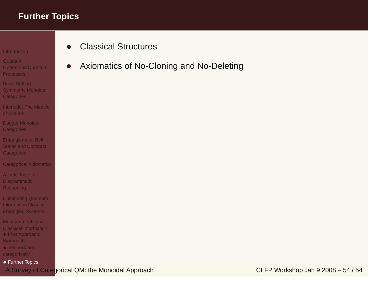#### **[Introduction](#page-1-0)**

- Quantum [Operations/Quantum](#page-11-0)**Processes**
- Basic Setting: Symmetric Monoidal **[Categories](#page-30-0)**
- [Interlude:](#page-44-0) The Miracleof Scalars
- Dagger Monoidal **[Categories](#page-48-0)**
- [Entanglement,](#page-54-0) Bell States and Compact **Categories**
- [Categorical](#page-62-0) Axiomatics
- A Little Taste of **[Diagrammatic](#page-75-0)** Reasoning
- [Illuminating](#page-81-0) Quantum Information Flow inEntangled Systems
- [Measurements](#page-88-0) and Classical Information• First Approach: **[Biproducts](#page-89-0)**
- [Teleportation](#page-90-0) categorically
- Further [Topics](#page-92-0)
- •Classical Structures
- •Axiomatics of No-Cloning and No-Deleting

A Survey of Categorical QM: the Monoidal Approach CLFP Workshop Jan 9 2008 – 54 / 54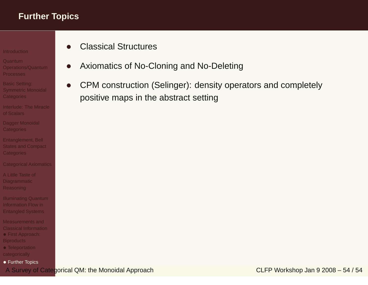- Quantum [Operations/Quantum](#page-11-0)Processes
- Basic Setting: Symmetric Monoidal **[Categories](#page-30-0)**
- [Interlude:](#page-44-0) The Miracleof Scalars
- Dagger Monoidal **[Categories](#page-48-0)**
- [Entanglement,](#page-54-0) Bell States and Compact **Categories**
- [Categorical](#page-62-0) Axiomatics
- A Little Taste of **[Diagrammatic](#page-75-0)** Reasoning
- [Illuminating](#page-81-0) Quantum Information Flow inEntangled Systems
- [Measurements](#page-88-0) and Classical Information• First Approach: **[Biproducts](#page-89-0)**
- [Teleportation](#page-90-0) categorically
- Further [Topics](#page-92-0)
- •Classical Structures
- •Axiomatics of No-Cloning and No-Deleting
- • CPM construction (Selinger): density operators and completely positive maps in the abstract setting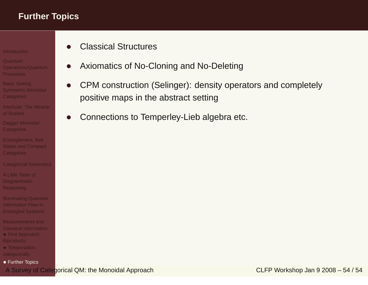- Quantum
- [Operations/Quantum](#page-11-0)Processes
- Basic Setting: Symmetric Monoidal **[Categories](#page-30-0)**
- [Interlude:](#page-44-0) The Miracleof Scalars
- Dagger Monoidal **[Categories](#page-48-0)**
- [Entanglement,](#page-54-0) Bell States and Compact **Categories**
- [Categorical](#page-62-0) Axiomatics
- A Little Taste of [Diagrammatic](#page-75-0)Reasoning
- [Illuminating](#page-81-0) Quantum Information Flow inEntangled Systems
- [Measurements](#page-88-0) and Classical Information• First Approach: **[Biproducts](#page-89-0)**
- [Teleportation](#page-90-0) categorically
- Further [Topics](#page-92-0)
- •Classical Structures
- •Axiomatics of No-Cloning and No-Deleting
- • CPM construction (Selinger): density operators and completely positive maps in the abstract setting
- •Connections to Temperley-Lieb algebra etc.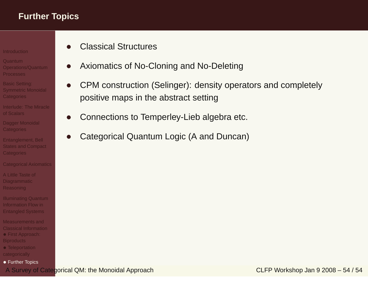- Quantum[Operations/Quantum](#page-11-0)
- Processes
- Basic Setting: Symmetric Monoidal **[Categories](#page-30-0)**
- [Interlude:](#page-44-0) The Miracleof Scalars
- Dagger Monoidal **[Categories](#page-48-0)**
- [Entanglement,](#page-54-0) Bell States and Compact Categories
- [Categorical](#page-62-0) Axiomatics
- A Little Taste of [Diagrammatic](#page-75-0)Reasoning
- [Illuminating](#page-81-0) Quantum Information Flow inEntangled Systems
- [Measurements](#page-88-0) and Classical Information• First Approach: **[Biproducts](#page-89-0)**
- [Teleportation](#page-90-0) categorically
- Further [Topics](#page-92-0)
- •Classical Structures
- •Axiomatics of No-Cloning and No-Deleting
- • CPM construction (Selinger): density operators and completely positive maps in the abstract setting
- •Connections to Temperley-Lieb algebra etc.
- •Categorical Quantum Logic (A and Duncan)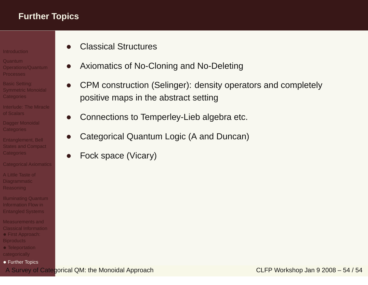- Quantum[Operations/Quantum](#page-11-0)
- Processes
- Basic Setting: Symmetric Monoidal [Categories](#page-30-0)
- [Interlude:](#page-44-0) The Miracleof Scalars
- Dagger Monoidal **[Categories](#page-48-0)**
- [Entanglement,](#page-54-0) Bell States and Compact Categories
- [Categorical](#page-62-0) Axiomatics
- A Little Taste of [Diagrammatic](#page-75-0)Reasoning
- [Illuminating](#page-81-0) Quantum Information Flow inEntangled Systems
- [Measurements](#page-88-0) and Classical Information• First Approach: **[Biproducts](#page-89-0)**
- [Teleportation](#page-90-0) categorically
- Further [Topics](#page-92-0)
- •Classical Structures
- •Axiomatics of No-Cloning and No-Deleting
- • CPM construction (Selinger): density operators and completely positive maps in the abstract setting
- •Connections to Temperley-Lieb algebra etc.
- •Categorical Quantum Logic (A and Duncan)
- •Fock space (Vicary)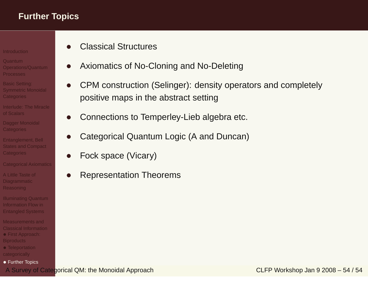- Quantum[Operations/Quantum](#page-11-0)
- Processes
- Basic Setting: Symmetric Monoidal **[Categories](#page-30-0)**
- [Interlude:](#page-44-0) The Miracleof Scalars
- Dagger Monoidal **[Categories](#page-48-0)**
- [Entanglement,](#page-54-0) Bell States and Compact Categories
- [Categorical](#page-62-0) Axiomatics
- A Little Taste of **[Diagrammatic](#page-75-0)** Reasoning
- [Illuminating](#page-81-0) Quantum Information Flow inEntangled Systems
- [Measurements](#page-88-0) and Classical Information• First Approach: **[Biproducts](#page-89-0)**
- [Teleportation](#page-90-0) categorically
- Further [Topics](#page-92-0)
- •Classical Structures
- •Axiomatics of No-Cloning and No-Deleting
- • CPM construction (Selinger): density operators and completely positive maps in the abstract setting
- •Connections to Temperley-Lieb algebra etc.
- •Categorical Quantum Logic (A and Duncan)
- •Fock space (Vicary)
- •Representation Theorems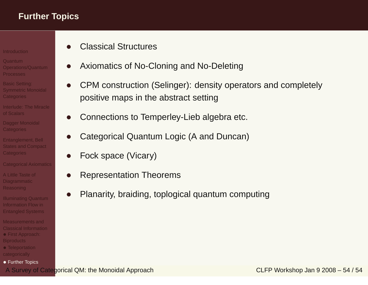- Quantum[Operations/Quantum](#page-11-0)
- Processes
- Basic Setting: Symmetric Monoidal **[Categories](#page-30-0)**
- [Interlude:](#page-44-0) The Miracleof Scalars
- Dagger Monoidal **[Categories](#page-48-0)**
- [Entanglement,](#page-54-0) Bell States and Compact Categories
- [Categorical](#page-62-0) Axiomatics
- A Little Taste of **[Diagrammatic](#page-75-0)** Reasoning
- [Illuminating](#page-81-0) Quantum Information Flow inEntangled Systems
- [Measurements](#page-88-0) and Classical Information• First Approach: **[Biproducts](#page-89-0)**
- [Teleportation](#page-90-0) categorically
- Further [Topics](#page-92-0)
- •Classical Structures
- $\bullet$ Axiomatics of No-Cloning and No-Deleting
- • CPM construction (Selinger): density operators and completely positive maps in the abstract setting
- •Connections to Temperley-Lieb algebra etc.
- •Categorical Quantum Logic (A and Duncan)
- •Fock space (Vicary)
- •Representation Theorems
- •Planarity, braiding, toplogical quantum computing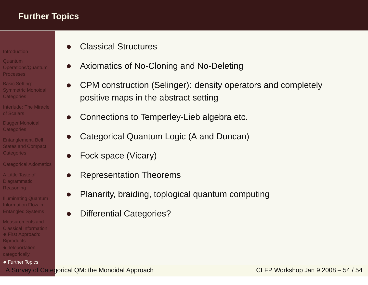- Quantum[Operations/Quantum](#page-11-0)
- Processes
- Basic Setting: Symmetric Monoidal **[Categories](#page-30-0)**
- [Interlude:](#page-44-0) The Miracleof Scalars
- Dagger Monoidal **[Categories](#page-48-0)**
- [Entanglement,](#page-54-0) Bell States and Compact Categories
- [Categorical](#page-62-0) Axiomatics
- A Little Taste of **[Diagrammatic](#page-75-0)** Reasoning
- [Illuminating](#page-81-0) Quantum Information Flow inEntangled Systems
- [Measurements](#page-88-0) and Classical Information• First Approach: **[Biproducts](#page-89-0)**
- [Teleportation](#page-90-0) categorically
- Further [Topics](#page-92-0)
- •Classical Structures
- $\bullet$ Axiomatics of No-Cloning and No-Deleting
- • CPM construction (Selinger): density operators and completely positive maps in the abstract setting
- •Connections to Temperley-Lieb algebra etc.
- •Categorical Quantum Logic (A and Duncan)
- •Fock space (Vicary)
- •Representation Theorems
- •Planarity, braiding, toplogical quantum computing
- •Differential Categories?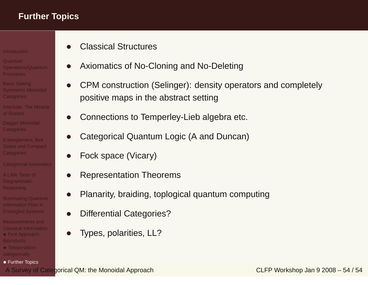- Quantum[Operations/Quantum](#page-11-0)
- Processes
- Basic Setting: Symmetric Monoidal **[Categories](#page-30-0)**
- [Interlude:](#page-44-0) The Miracleof Scalars
- Dagger Monoidal **[Categories](#page-48-0)**
- [Entanglement,](#page-54-0) Bell States and Compact Categories
- [Categorical](#page-62-0) Axiomatics
- A Little Taste of **[Diagrammatic](#page-75-0)** Reasoning
- [Illuminating](#page-81-0) Quantum Information Flow inEntangled Systems
- [Measurements](#page-88-0) and Classical Information• First Approach: **[Biproducts](#page-89-0)**
- [Teleportation](#page-90-0) categorically
- Further [Topics](#page-92-0)
- •Classical Structures
- $\bullet$ Axiomatics of No-Cloning and No-Deleting
- • CPM construction (Selinger): density operators and completely positive maps in the abstract setting
- •Connections to Temperley-Lieb algebra etc.
- •Categorical Quantum Logic (A and Duncan)
- •Fock space (Vicary)
- •Representation Theorems
- •Planarity, braiding, toplogical quantum computing
- •Differential Categories?
- •Types, polarities, LL?